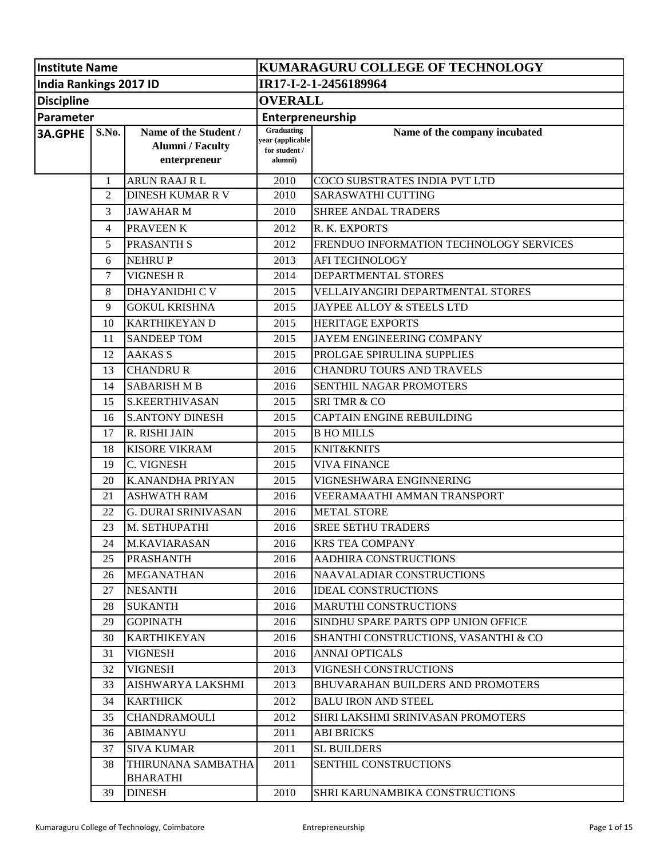| <b>Institute Name</b>  |        | KUMARAGURU COLLEGE OF TECHNOLOGY                                 |                                                            |                                          |  |  |
|------------------------|--------|------------------------------------------------------------------|------------------------------------------------------------|------------------------------------------|--|--|
| India Rankings 2017 ID |        |                                                                  | IR17-I-2-1-2456189964                                      |                                          |  |  |
| <b>Discipline</b>      |        |                                                                  | <b>OVERALL</b>                                             |                                          |  |  |
| Parameter              |        |                                                                  | Enterpreneurship                                           |                                          |  |  |
| 3A.GPHE                | S.No.  | Name of the Student /<br><b>Alumni</b> / Faculty<br>enterpreneur | Graduating<br>year (applicable<br>for student /<br>alumni) | Name of the company incubated            |  |  |
|                        | 1      | <b>ARUN RAAJ RL</b>                                              | 2010                                                       | COCO SUBSTRATES INDIA PVT LTD            |  |  |
|                        | 2      | <b>DINESH KUMAR R V</b>                                          | 2010                                                       | <b>SARASWATHI CUTTING</b>                |  |  |
|                        | 3      | <b>JAWAHARM</b>                                                  | 2010                                                       | <b>SHREE ANDAL TRADERS</b>               |  |  |
|                        | 4      | <b>PRAVEEN K</b>                                                 | 2012                                                       | R. K. EXPORTS                            |  |  |
|                        | 5      | <b>PRASANTH S</b>                                                | 2012                                                       | FRENDUO INFORMATION TECHNOLOGY SERVICES  |  |  |
|                        | 6      | <b>NEHRUP</b>                                                    | 2013                                                       | <b>AFI TECHNOLOGY</b>                    |  |  |
|                        | $\tau$ | <b>VIGNESH R</b>                                                 | 2014                                                       | DEPARTMENTAL STORES                      |  |  |
|                        | 8      | <b>DHAYANIDHI C V</b>                                            | 2015                                                       | <b>VELLAIYANGIRI DEPARTMENTAL STORES</b> |  |  |
|                        | 9      | <b>GOKUL KRISHNA</b>                                             | 2015                                                       | JAYPEE ALLOY & STEELS LTD                |  |  |
|                        | 10     | <b>KARTHIKEYAN D</b>                                             | 2015                                                       | <b>HERITAGE EXPORTS</b>                  |  |  |
|                        | 11     | <b>SANDEEP TOM</b>                                               | 2015                                                       | <b>JAYEM ENGINEERING COMPANY</b>         |  |  |
|                        | 12     | <b>AAKAS S</b>                                                   | 2015                                                       | PROLGAE SPIRULINA SUPPLIES               |  |  |
|                        | 13     | <b>CHANDRU R</b>                                                 | 2016                                                       | <b>CHANDRU TOURS AND TRAVELS</b>         |  |  |
|                        | 14     | <b>SABARISH M B</b>                                              | 2016                                                       | SENTHIL NAGAR PROMOTERS                  |  |  |
|                        | 15     | <b>S.KEERTHIVASAN</b>                                            | 2015                                                       | <b>SRITMR &amp; CO</b>                   |  |  |
|                        | 16     | <b>S.ANTONY DINESH</b>                                           | 2015                                                       | CAPTAIN ENGINE REBUILDING                |  |  |
|                        | 17     | R. RISHI JAIN                                                    | 2015                                                       | <b>B HO MILLS</b>                        |  |  |
|                        | 18     | <b>KISORE VIKRAM</b>                                             | 2015                                                       | <b>KNIT&amp;KNITS</b>                    |  |  |
|                        | 19     | C. VIGNESH                                                       | 2015                                                       | <b>VIVA FINANCE</b>                      |  |  |
|                        | 20     | <b>K.ANANDHA PRIYAN</b>                                          | 2015                                                       | VIGNESHWARA ENGINNERING                  |  |  |
|                        | 21     | <b>ASHWATH RAM</b>                                               | 2016                                                       | VEERAMAATHI AMMAN TRANSPORT              |  |  |
|                        | 22     | <b>G. DURAI SRINIVASAN</b>                                       | 2016                                                       | <b>METAL STORE</b>                       |  |  |
|                        | 23     | M. SETHUPATHI                                                    | 2016                                                       | <b>SREE SETHU TRADERS</b>                |  |  |
|                        | 24     | M.KAVIARASAN                                                     | 2016                                                       | <b>KRS TEA COMPANY</b>                   |  |  |
|                        | 25     | <b>PRASHANTH</b>                                                 | 2016                                                       | <b>AADHIRA CONSTRUCTIONS</b>             |  |  |
|                        | 26     | <b>MEGANATHAN</b>                                                | 2016                                                       | <b>NAAVALADIAR CONSTRUCTIONS</b>         |  |  |
|                        | 27     | <b>NESANTH</b>                                                   | 2016                                                       | <b>IDEAL CONSTRUCTIONS</b>               |  |  |
|                        | 28     | <b>SUKANTH</b>                                                   | 2016                                                       | <b>MARUTHI CONSTRUCTIONS</b>             |  |  |
|                        | 29     | <b>GOPINATH</b>                                                  | 2016                                                       | SINDHU SPARE PARTS OPP UNION OFFICE      |  |  |
|                        | 30     | <b>KARTHIKEYAN</b>                                               | 2016                                                       | SHANTHI CONSTRUCTIONS, VASANTHI & CO     |  |  |
|                        | 31     | <b>VIGNESH</b>                                                   | 2016                                                       | <b>ANNAI OPTICALS</b>                    |  |  |
|                        | 32     | <b>VIGNESH</b>                                                   | 2013                                                       | VIGNESH CONSTRUCTIONS                    |  |  |
|                        | 33     | AISHWARYA LAKSHMI                                                | 2013                                                       | <b>BHUVARAHAN BUILDERS AND PROMOTERS</b> |  |  |
|                        | 34     | <b>KARTHICK</b>                                                  | 2012                                                       | <b>BALU IRON AND STEEL</b>               |  |  |
|                        | 35     | <b>CHANDRAMOULI</b>                                              | 2012                                                       | SHRI LAKSHMI SRINIVASAN PROMOTERS        |  |  |
|                        | 36     | <b>ABIMANYU</b>                                                  | 2011                                                       | <b>ABI BRICKS</b>                        |  |  |
|                        | 37     | <b>SIVA KUMAR</b>                                                | 2011                                                       | <b>SL BUILDERS</b>                       |  |  |
|                        | 38     | THIRUNANA SAMBATHA<br><b>BHARATHI</b>                            | 2011                                                       | SENTHIL CONSTRUCTIONS                    |  |  |
|                        | 39     | <b>DINESH</b>                                                    | 2010                                                       | SHRI KARUNAMBIKA CONSTRUCTIONS           |  |  |
|                        |        |                                                                  |                                                            |                                          |  |  |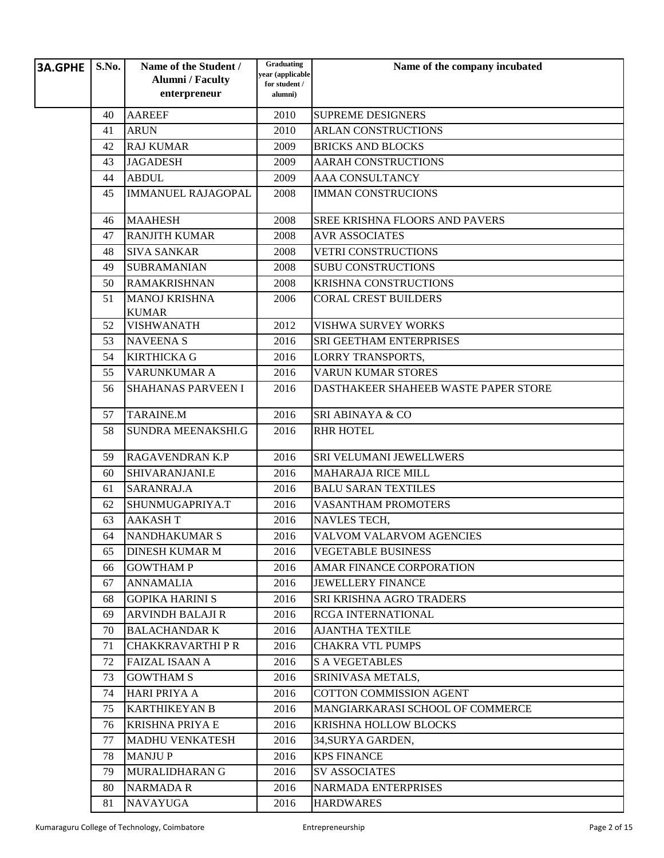| <b>3A.GPHE</b> | S.No. | Name of the Student /<br><b>Alumni / Faculty</b><br>enterpreneur | Graduating<br>year (applicable<br>for student /<br>alumni) | Name of the company incubated        |
|----------------|-------|------------------------------------------------------------------|------------------------------------------------------------|--------------------------------------|
|                | 40    | <b>AAREEF</b>                                                    | 2010                                                       | <b>SUPREME DESIGNERS</b>             |
|                | 41    | <b>ARUN</b>                                                      | 2010                                                       | <b>ARLAN CONSTRUCTIONS</b>           |
|                | 42    | <b>RAJ KUMAR</b>                                                 | 2009                                                       | <b>BRICKS AND BLOCKS</b>             |
|                | 43    | <b>JAGADESH</b>                                                  | 2009                                                       | <b>AARAH CONSTRUCTIONS</b>           |
|                | 44    | <b>ABDUL</b>                                                     | 2009                                                       | <b>AAA CONSULTANCY</b>               |
|                | 45    | <b>IMMANUEL RAJAGOPAL</b>                                        | 2008                                                       | <b>IMMAN CONSTRUCIONS</b>            |
|                | 46    | <b>MAAHESH</b>                                                   | 2008                                                       | SREE KRISHNA FLOORS AND PAVERS       |
|                | 47    | <b>RANJITH KUMAR</b>                                             | 2008                                                       | <b>AVR ASSOCIATES</b>                |
|                | 48    | <b>SIVA SANKAR</b>                                               | 2008                                                       | <b>VETRI CONSTRUCTIONS</b>           |
|                | 49    | <b>SUBRAMANIAN</b>                                               | 2008                                                       | <b>SUBU CONSTRUCTIONS</b>            |
|                | 50    | <b>RAMAKRISHNAN</b>                                              | 2008                                                       | <b>KRISHNA CONSTRUCTIONS</b>         |
|                | 51    | <b>MANOJ KRISHNA</b><br><b>KUMAR</b>                             | 2006                                                       | <b>CORAL CREST BUILDERS</b>          |
|                | 52    | <b>VISHWANATH</b>                                                | 2012                                                       | <b>VISHWA SURVEY WORKS</b>           |
|                | 53    | <b>NAVEENAS</b>                                                  | 2016                                                       | SRI GEETHAM ENTERPRISES              |
|                | 54    | <b>KIRTHICKA G</b>                                               | 2016                                                       | <b>LORRY TRANSPORTS,</b>             |
|                | 55    | <b>VARUNKUMAR A</b>                                              | 2016                                                       | <b>VARUN KUMAR STORES</b>            |
|                | 56    | <b>SHAHANAS PARVEEN I</b>                                        | 2016                                                       | DASTHAKEER SHAHEEB WASTE PAPER STORE |
|                | 57    | <b>TARAINE.M</b>                                                 | 2016                                                       | SRI ABINAYA & CO                     |
|                | 58    | SUNDRA MEENAKSHI.G                                               | 2016                                                       | <b>RHR HOTEL</b>                     |
|                | 59    | <b>RAGAVENDRAN K.P</b>                                           | 2016                                                       | SRI VELUMANI JEWELLWERS              |
|                | 60    | SHIVARANJANI.E                                                   | 2016                                                       | <b>MAHARAJA RICE MILL</b>            |
|                | 61    | SARANRAJ.A                                                       | 2016                                                       | <b>BALU SARAN TEXTILES</b>           |
|                | 62    | SHUNMUGAPRIYA.T                                                  | 2016                                                       | <b>VASANTHAM PROMOTERS</b>           |
|                | 63    | <b>AAKASHT</b>                                                   | 2016                                                       | <b>NAVLES TECH,</b>                  |
|                | 64    | <b>NANDHAKUMAR S</b>                                             | 2016                                                       | <b>VALVOM VALARVOM AGENCIES</b>      |
|                | 65    | <b>DINESH KUMAR M</b>                                            | 2016                                                       | <b>VEGETABLE BUSINESS</b>            |
|                | 66    | <b>GOWTHAM P</b>                                                 | 2016                                                       | AMAR FINANCE CORPORATION             |
|                | 67    | <b>ANNAMALIA</b>                                                 | 2016                                                       | <b>JEWELLERY FINANCE</b>             |
|                | 68    | <b>GOPIKA HARINI S</b>                                           | 2016                                                       | <b>SRI KRISHNA AGRO TRADERS</b>      |
|                | 69    | <b>ARVINDH BALAJI R</b>                                          | 2016                                                       | <b>RCGA INTERNATIONAL</b>            |
|                | 70    | <b>BALACHANDAR K</b>                                             | 2016                                                       | <b>AJANTHA TEXTILE</b>               |
|                | 71    | <b>CHAKKRAVARTHIPR</b>                                           | 2016                                                       | <b>CHAKRA VTL PUMPS</b>              |
|                | 72    | <b>FAIZAL ISAAN A</b>                                            | 2016                                                       | <b>S A VEGETABLES</b>                |
|                | 73    | <b>GOWTHAM S</b>                                                 | 2016                                                       | SRINIVASA METALS,                    |
|                | 74    | HARI PRIYA A                                                     | 2016                                                       | <b>COTTON COMMISSION AGENT</b>       |
|                | 75    | <b>KARTHIKEYAN B</b>                                             | 2016                                                       | MANGIARKARASI SCHOOL OF COMMERCE     |
|                | 76    | <b>KRISHNA PRIYA E</b>                                           | 2016                                                       | KRISHNA HOLLOW BLOCKS                |
|                | 77    | <b>MADHU VENKATESH</b>                                           | 2016                                                       | 34, SURYA GARDEN,                    |
|                | 78    | <b>MANJUP</b>                                                    | 2016                                                       | <b>KPS FINANCE</b>                   |
|                | 79    | MURALIDHARAN G                                                   | 2016                                                       | <b>SV ASSOCIATES</b>                 |
|                | 80    | <b>NARMADA R</b>                                                 | 2016                                                       | <b>NARMADA ENTERPRISES</b>           |
|                | 81    | <b>NAVAYUGA</b>                                                  | 2016                                                       | <b>HARDWARES</b>                     |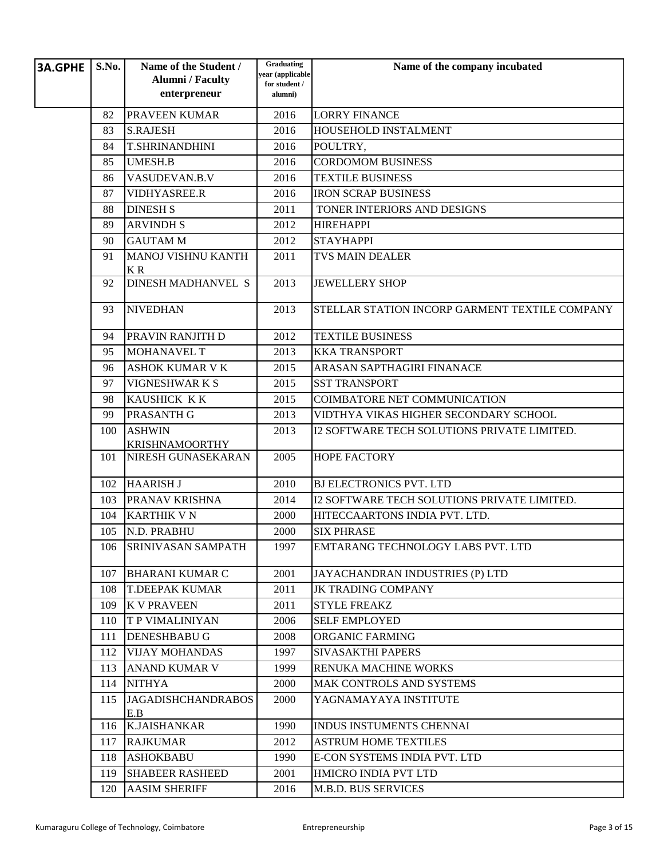| <b>3A.GPHE</b> | S.No. | Name of the Student /                       | Graduating<br>year (applicable | Name of the company incubated                  |
|----------------|-------|---------------------------------------------|--------------------------------|------------------------------------------------|
|                |       | <b>Alumni</b> / Faculty                     | for student /                  |                                                |
|                |       | enterpreneur                                | alumni)                        |                                                |
|                | 82    | PRAVEEN KUMAR                               | 2016                           | <b>LORRY FINANCE</b>                           |
|                | 83    | <b>S.RAJESH</b>                             | 2016                           | HOUSEHOLD INSTALMENT                           |
|                | 84    | <b>T.SHRINANDHINI</b>                       | 2016                           | POULTRY,                                       |
|                | 85    | <b>UMESH.B</b>                              | 2016                           | <b>CORDOMOM BUSINESS</b>                       |
|                | 86    | VASUDEVAN.B.V                               | 2016                           | <b>TEXTILE BUSINESS</b>                        |
|                | 87    | VIDHYASREE.R                                | 2016                           | <b>IRON SCRAP BUSINESS</b>                     |
|                | 88    | <b>DINESH S</b>                             | 2011                           | TONER INTERIORS AND DESIGNS                    |
|                | 89    | <b>ARVINDH S</b>                            | 2012                           | <b>HIREHAPPI</b>                               |
|                | 90    | <b>GAUTAM M</b>                             | 2012                           | <b>STAYHAPPI</b>                               |
|                | 91    | <b>MANOJ VISHNU KANTH</b><br>KR             | 2011                           | <b>TVS MAIN DEALER</b>                         |
|                | 92    | <b>DINESH MADHANVEL S</b>                   | 2013                           | <b>JEWELLERY SHOP</b>                          |
|                | 93    | <b>NIVEDHAN</b>                             | 2013                           | STELLAR STATION INCORP GARMENT TEXTILE COMPANY |
|                | 94    | PRAVIN RANJITH D                            | 2012                           | <b>TEXTILE BUSINESS</b>                        |
|                | 95    | <b>MOHANAVEL T</b>                          | 2013                           | <b>KKA TRANSPORT</b>                           |
|                | 96    | <b>ASHOK KUMAR V K</b>                      | 2015                           | ARASAN SAPTHAGIRI FINANACE                     |
|                | 97    | VIGNESHWARKS                                | 2015                           | <b>SST TRANSPORT</b>                           |
|                | 98    | KAUSHICK KK                                 | 2015                           | COIMBATORE NET COMMUNICATION                   |
|                | 99    | <b>PRASANTH G</b>                           | 2013                           | VIDTHYA VIKAS HIGHER SECONDARY SCHOOL          |
|                | 100   | <b>ASHWIN</b>                               | 2013                           | I2 SOFTWARE TECH SOLUTIONS PRIVATE LIMITED.    |
|                |       | <b>KRISHNAMOORTHY</b><br>NIRESH GUNASEKARAN |                                | <b>HOPE FACTORY</b>                            |
|                | 101   |                                             | 2005                           |                                                |
|                | 102   | <b>HAARISH J</b>                            | 2010                           | <b>BJ ELECTRONICS PVT. LTD</b>                 |
|                | 103   | PRANAV KRISHNA                              | 2014                           | I2 SOFTWARE TECH SOLUTIONS PRIVATE LIMITED.    |
|                | 104   | <b>KARTHIK V N</b>                          | 2000                           | HITECCAARTONS INDIA PVT. LTD.                  |
|                | 105   | N.D. PRABHU                                 | 2000                           | <b>SIX PHRASE</b>                              |
|                | 106   | SRINIVASAN SAMPATH                          | 1997                           | EMTARANG TECHNOLOGY LABS PVT. LTD              |
|                | 107   | <b>BHARANI KUMAR C</b>                      | 2001                           | JAYACHANDRAN INDUSTRIES (P) LTD                |
|                | 108   | <b>T.DEEPAK KUMAR</b>                       | 2011                           | <b>JK TRADING COMPANY</b>                      |
|                | 109   | <b>K V PRAVEEN</b>                          | 2011                           | <b>STYLE FREAKZ</b>                            |
|                | 110   | <b>T P VIMALINIYAN</b>                      | 2006                           | <b>SELF EMPLOYED</b>                           |
|                | 111   | <b>DENESHBABU G</b>                         | 2008                           | ORGANIC FARMING                                |
|                | 112   | <b>VIJAY MOHANDAS</b>                       | 1997                           | <b>SIVASAKTHI PAPERS</b>                       |
|                | 113   | <b>ANAND KUMAR V</b>                        | 1999                           | RENUKA MACHINE WORKS                           |
|                | 114   | <b>NITHYA</b>                               | 2000                           | <b>MAK CONTROLS AND SYSTEMS</b>                |
|                | 115   | <b>JAGADISHCHANDRABOS</b><br>E.B            | 2000                           | YAGNAMAYAYA INSTITUTE                          |
|                | 116   | <b>K.JAISHANKAR</b>                         | 1990                           | INDUS INSTUMENTS CHENNAI                       |
|                | 117   | <b>RAJKUMAR</b>                             | 2012                           | <b>ASTRUM HOME TEXTILES</b>                    |
|                | 118   | <b>ASHOKBABU</b>                            | 1990                           | E-CON SYSTEMS INDIA PVT. LTD                   |
|                | 119   | <b>SHABEER RASHEED</b>                      | 2001                           | HMICRO INDIA PVT LTD                           |
|                | 120   | <b>AASIM SHERIFF</b>                        | 2016                           | <b>M.B.D. BUS SERVICES</b>                     |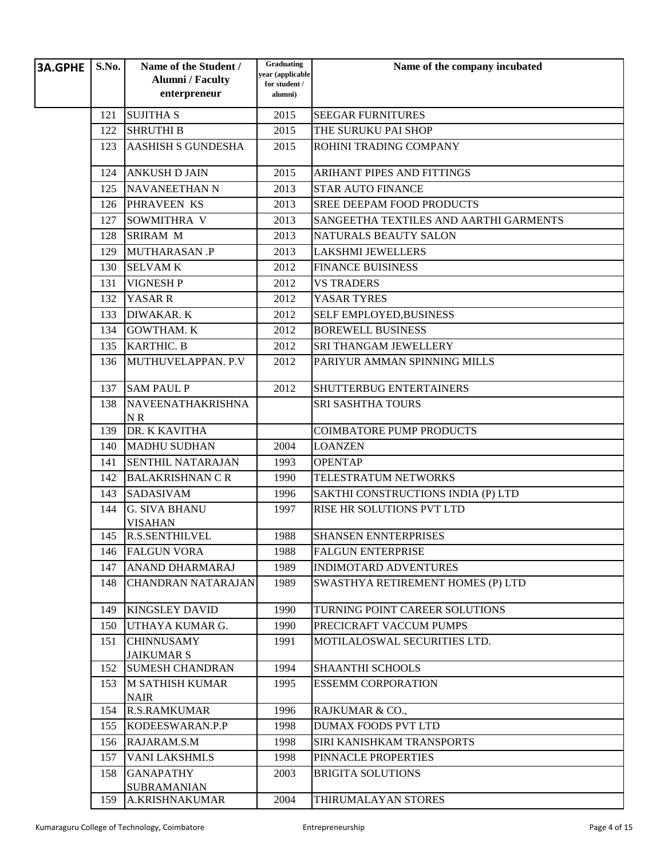| <b>3A.GPHE</b> | S.No. | Name of the Student /<br><b>Alumni</b> / Faculty | Graduating<br>year (applicable | Name of the company incubated          |
|----------------|-------|--------------------------------------------------|--------------------------------|----------------------------------------|
|                |       | enterpreneur                                     | for student /<br>alumni)       |                                        |
|                | 121   | <b>SUJITHA S</b>                                 | 2015                           | <b>SEEGAR FURNITURES</b>               |
|                | 122   | <b>SHRUTHI B</b>                                 | 2015                           | THE SURUKU PAI SHOP                    |
|                | 123   | <b>AASHISH S GUNDESHA</b>                        | 2015                           | ROHINI TRADING COMPANY                 |
|                | 124   | <b>ANKUSH D JAIN</b>                             | 2015                           | ARIHANT PIPES AND FITTINGS             |
|                | 125   | <b>NAVANEETHAN N</b>                             | 2013                           | <b>STAR AUTO FINANCE</b>               |
|                | 126   | PHRAVEEN KS                                      | 2013                           | <b>SREE DEEPAM FOOD PRODUCTS</b>       |
|                | 127   | SOWMITHRA V                                      | 2013                           | SANGEETHA TEXTILES AND AARTHI GARMENTS |
|                | 128   | <b>SRIRAM M</b>                                  | 2013                           | NATURALS BEAUTY SALON                  |
|                | 129   | <b>MUTHARASAN .P</b>                             | 2013                           | <b>LAKSHMI JEWELLERS</b>               |
|                | 130   | <b>SELVAMK</b>                                   | 2012                           | <b>FINANCE BUISINESS</b>               |
|                | 131   | <b>VIGNESH P</b>                                 | 2012                           | <b>VS TRADERS</b>                      |
|                | 132   | YASAR R                                          | 2012                           | YASAR TYRES                            |
|                | 133   | <b>DIWAKAR. K</b>                                | 2012                           | SELF EMPLOYED, BUSINESS                |
|                | 134   | <b>GOWTHAM. K</b>                                | 2012                           | <b>BOREWELL BUSINESS</b>               |
|                | 135   | <b>KARTHIC. B</b>                                | 2012                           | SRI THANGAM JEWELLERY                  |
|                | 136   | MUTHUVELAPPAN, P.V.                              | 2012                           | PARIYUR AMMAN SPINNING MILLS           |
|                | 137   | <b>SAM PAUL P</b>                                | 2012                           | SHUTTERBUG ENTERTAINERS                |
|                | 138   | NAVEENATHAKRISHNA<br>NR                          |                                | SRI SASHTHA TOURS                      |
|                | 139   | DR. K KAVITHA                                    |                                | <b>COIMBATORE PUMP PRODUCTS</b>        |
|                | 140   | <b>MADHU SUDHAN</b>                              | 2004                           | <b>LOANZEN</b>                         |
|                | 141   | <b>SENTHIL NATARAJAN</b>                         | 1993                           | <b>OPENTAP</b>                         |
|                | 142   | <b>BALAKRISHNAN C R</b>                          | 1990                           | TELESTRATUM NETWORKS                   |
|                | 143   | <b>SADASIVAM</b>                                 | 1996                           | SAKTHI CONSTRUCTIONS INDIA (P) LTD     |
|                | 144   | <b>G. SIVA BHANU</b><br><b>VISAHAN</b>           | 1997                           | RISE HR SOLUTIONS PVT LTD              |
|                | 145   | <b>R.S.SENTHILVEL</b>                            | 1988                           | <b>SHANSEN ENNTERPRISES</b>            |
|                | 146   | <b>FALGUN VORA</b>                               | 1988                           | <b>FALGUN ENTERPRISE</b>               |
|                | 147   | <b>ANAND DHARMARAJ</b>                           | 1989                           | <b>INDIMOTARD ADVENTURES</b>           |
|                | 148   | <b>CHANDRAN NATARAJAN</b>                        | 1989                           | SWASTHYA RETIREMENT HOMES (P) LTD      |
|                | 149   | <b>KINGSLEY DAVID</b>                            | 1990                           | TURNING POINT CAREER SOLUTIONS         |
|                | 150   | UTHAYA KUMAR G.                                  | 1990                           | PRECICRAFT VACCUM PUMPS                |
|                | 151   | <b>CHINNUSAMY</b><br><b>JAIKUMAR S</b>           | 1991                           | MOTILALOSWAL SECURITIES LTD.           |
|                | 152   | <b>SUMESH CHANDRAN</b>                           | 1994                           | <b>SHAANTHI SCHOOLS</b>                |
|                | 153   | <b>M SATHISH KUMAR</b><br><b>NAIR</b>            | 1995                           | <b>ESSEMM CORPORATION</b>              |
|                | 154   | <b>R.S.RAMKUMAR</b>                              | 1996                           | RAJKUMAR & CO.,                        |
|                | 155   | KODEESWARAN.P.P                                  | 1998                           | <b>DUMAX FOODS PVT LTD</b>             |
|                | 156   | RAJARAM.S.M                                      | 1998                           | SIRI KANISHKAM TRANSPORTS              |
|                | 157   | VANI LAKSHMI.S                                   | 1998                           | PINNACLE PROPERTIES                    |
|                | 158   | <b>GANAPATHY</b><br><b>SUBRAMANIAN</b>           | 2003                           | <b>BRIGITA SOLUTIONS</b>               |
|                | 159   | A.KRISHNAKUMAR                                   | 2004                           | THIRUMALAYAN STORES                    |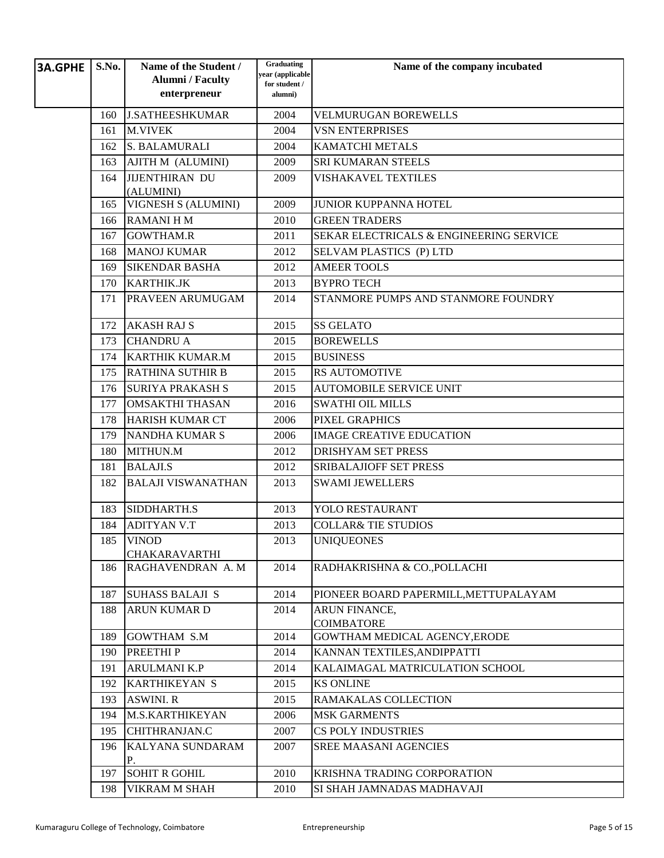| <b>3A.GPHE</b> | S.No. | Name of the Student /<br><b>Alumni</b> / Faculty<br>enterpreneur | Graduating<br>year (applicable<br>for student /<br>alumni) | Name of the company incubated           |
|----------------|-------|------------------------------------------------------------------|------------------------------------------------------------|-----------------------------------------|
|                | 160   | <b>J.SATHEESHKUMAR</b>                                           | 2004                                                       | <b>VELMURUGAN BOREWELLS</b>             |
|                | 161   | <b>M.VIVEK</b>                                                   | 2004                                                       | <b>VSN ENTERPRISES</b>                  |
|                | 162   | S. BALAMURALI                                                    | 2004                                                       | <b>KAMATCHI METALS</b>                  |
|                | 163   | AJITH M (ALUMINI)                                                | 2009                                                       | <b>SRI KUMARAN STEELS</b>               |
|                | 164   | <b>JIJENTHIRAN DU</b>                                            | 2009                                                       | <b>VISHAKAVEL TEXTILES</b>              |
|                |       | (ALUMINI)                                                        |                                                            |                                         |
|                | 165   | <b>VIGNESH S (ALUMINI)</b>                                       | 2009                                                       | <b>JUNIOR KUPPANNA HOTEL</b>            |
|                | 166   | <b>RAMANIHM</b>                                                  | 2010                                                       | <b>GREEN TRADERS</b>                    |
|                | 167   | <b>GOWTHAM.R</b>                                                 | 2011                                                       | SEKAR ELECTRICALS & ENGINEERING SERVICE |
|                | 168   | <b>MANOJ KUMAR</b>                                               | 2012                                                       | SELVAM PLASTICS (P) LTD                 |
|                | 169   | <b>SIKENDAR BASHA</b>                                            | 2012                                                       | <b>AMEER TOOLS</b>                      |
|                | 170   | <b>KARTHIK.JK</b>                                                | 2013                                                       | <b>BYPRO TECH</b>                       |
|                | 171   | PRAVEEN ARUMUGAM                                                 | 2014                                                       | STANMORE PUMPS AND STANMORE FOUNDRY     |
|                | 172   | <b>AKASH RAJ S</b>                                               | 2015                                                       | <b>SS GELATO</b>                        |
|                | 173   | <b>CHANDRU A</b>                                                 | 2015                                                       | <b>BOREWELLS</b>                        |
|                | 174   | <b>KARTHIK KUMAR.M</b>                                           | 2015                                                       | <b>BUSINESS</b>                         |
|                | 175   | <b>RATHINA SUTHIR B</b>                                          | 2015                                                       | <b>RS AUTOMOTIVE</b>                    |
|                | 176   | <b>SURIYA PRAKASH S</b>                                          | 2015                                                       | <b>AUTOMOBILE SERVICE UNIT</b>          |
|                | 177   | <b>OMSAKTHI THASAN</b>                                           | 2016                                                       | <b>SWATHI OIL MILLS</b>                 |
|                | 178   | <b>HARISH KUMAR CT</b>                                           | 2006                                                       | PIXEL GRAPHICS                          |
|                | 179   | <b>NANDHA KUMAR S</b>                                            | 2006                                                       | <b>IMAGE CREATIVE EDUCATION</b>         |
|                | 180   | MITHUN.M                                                         | 2012                                                       | <b>DRISHYAM SET PRESS</b>               |
|                | 181   | <b>BALAJI.S</b>                                                  | 2012                                                       | <b>SRIBALAJIOFF SET PRESS</b>           |
|                | 182   | <b>BALAJI VISWANATHAN</b>                                        | 2013                                                       | <b>SWAMI JEWELLERS</b>                  |
|                | 183   | SIDDHARTH.S                                                      | 2013                                                       | YOLO RESTAURANT                         |
|                | 184   | <b>ADITYAN V.T</b>                                               | 2013                                                       | <b>COLLAR&amp; TIE STUDIOS</b>          |
|                | 185   | <b>VINOD</b>                                                     | 2013                                                       | <b>UNIOUEONES</b>                       |
|                | 186   | <b>CHAKARAVARTHI</b><br>RAGHAVENDRAN A.M                         | 2014                                                       | RADHAKRISHNA & CO., POLLACHI            |
|                |       |                                                                  |                                                            |                                         |
|                | 187   | <b>SUHASS BALAJI S</b>                                           | 2014                                                       | PIONEER BOARD PAPERMILL, METTUPALAYAM   |
|                | 188   | <b>ARUN KUMAR D</b>                                              | 2014                                                       | ARUN FINANCE,<br><b>COIMBATORE</b>      |
|                | 189   | <b>GOWTHAM S.M</b>                                               | 2014                                                       | GOWTHAM MEDICAL AGENCY, ERODE           |
|                | 190   | <b>PREETHIP</b>                                                  | 2014                                                       | KANNAN TEXTILES, ANDIPPATTI             |
|                | 191   | <b>ARULMANI K.P</b>                                              | 2014                                                       | KALAIMAGAL MATRICULATION SCHOOL         |
|                | 192   | <b>KARTHIKEYAN S</b>                                             | 2015                                                       | <b>KS ONLINE</b>                        |
|                | 193   | <b>ASWINI. R</b>                                                 | 2015                                                       | RAMAKALAS COLLECTION                    |
|                | 194   | <b>M.S.KARTHIKEYAN</b>                                           | 2006                                                       | <b>MSK GARMENTS</b>                     |
|                | 195   | CHITHRANJAN.C                                                    | 2007                                                       | <b>CS POLY INDUSTRIES</b>               |
|                | 196   | KALYANA SUNDARAM<br>Р.                                           | 2007                                                       | SREE MAASANI AGENCIES                   |
|                | 197   | <b>SOHIT R GOHIL</b>                                             | 2010                                                       | KRISHNA TRADING CORPORATION             |
|                | 198   | VIKRAM M SHAH                                                    | 2010                                                       | SI SHAH JAMNADAS MADHAVAJI              |
|                |       |                                                                  |                                                            |                                         |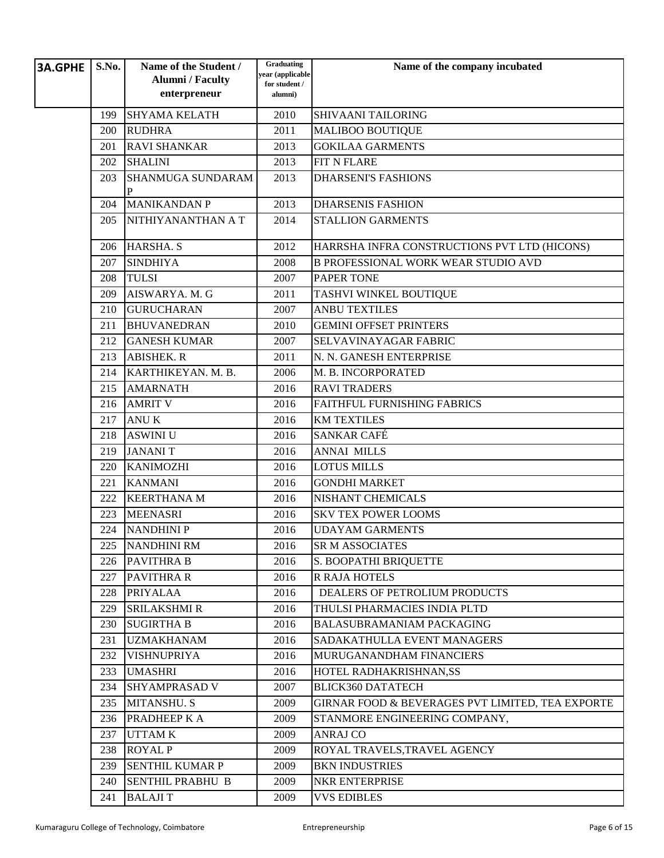| <b>3A.GPHE</b> | S.No. | Name of the Student /<br><b>Alumni</b> / Faculty | Graduating<br>year (applicable | Name of the company incubated                    |
|----------------|-------|--------------------------------------------------|--------------------------------|--------------------------------------------------|
|                |       | enterpreneur                                     | for student /<br>alumni)       |                                                  |
|                | 199   | <b>SHYAMA KELATH</b>                             | 2010                           | <b>SHIVAANI TAILORING</b>                        |
|                | 200   | <b>RUDHRA</b>                                    | 2011                           | <b>MALIBOO BOUTIQUE</b>                          |
|                | 201   | <b>RAVI SHANKAR</b>                              | 2013                           | <b>GOKILAA GARMENTS</b>                          |
|                | 202   | <b>SHALINI</b>                                   | 2013                           | FIT N FLARE                                      |
|                | 203   | <b>SHANMUGA SUNDARAM</b><br>P                    | 2013                           | <b>DHARSENI'S FASHIONS</b>                       |
|                | 204   | <b>MANIKANDAN P</b>                              | 2013                           | <b>DHARSENIS FASHION</b>                         |
|                | 205   | NITHIYANANTHAN A T                               | 2014                           | <b>STALLION GARMENTS</b>                         |
|                | 206   | HARSHA. S                                        | 2012                           | HARRSHA INFRA CONSTRUCTIONS PVT LTD (HICONS)     |
|                | 207   | <b>SINDHIYA</b>                                  | 2008                           | <b>B PROFESSIONAL WORK WEAR STUDIO AVD</b>       |
|                | 208   | <b>TULSI</b>                                     | 2007                           | <b>PAPER TONE</b>                                |
|                | 209   | AISWARYA. M. G                                   | 2011                           | TASHVI WINKEL BOUTIQUE                           |
|                | 210   | <b>GURUCHARAN</b>                                | 2007                           | <b>ANBU TEXTILES</b>                             |
|                | 211   | <b>BHUVANEDRAN</b>                               | 2010                           | <b>GEMINI OFFSET PRINTERS</b>                    |
|                | 212   | <b>GANESH KUMAR</b>                              | 2007                           | SELVAVINAYAGAR FABRIC                            |
|                | 213   | <b>ABISHEK. R</b>                                | 2011                           | N. N. GANESH ENTERPRISE                          |
|                | 214   | KARTHIKEYAN. M. B.                               | 2006                           | M. B. INCORPORATED                               |
|                | 215   | <b>AMARNATH</b>                                  | 2016                           | <b>RAVI TRADERS</b>                              |
|                | 216   | <b>AMRIT V</b>                                   | 2016                           | FAITHFUL FURNISHING FABRICS                      |
|                | 217   | <b>ANUK</b>                                      | 2016                           | <b>KM TEXTILES</b>                               |
|                | 218   | <b>ASWINI U</b>                                  | 2016                           | SANKAR CAFÉ                                      |
|                | 219   | <b>JANANIT</b>                                   | 2016                           | <b>ANNAI MILLS</b>                               |
|                | 220   | <b>KANIMOZHI</b>                                 | 2016                           | <b>LOTUS MILLS</b>                               |
|                | 221   | <b>KANMANI</b>                                   | 2016                           | <b>GONDHI MARKET</b>                             |
|                | 222   | <b>KEERTHANA M</b>                               | 2016                           | <b>NISHANT CHEMICALS</b>                         |
|                | 223   | <b>MEENASRI</b>                                  | 2016                           | <b>SKV TEX POWER LOOMS</b>                       |
|                | 224   | <b>NANDHINI P</b>                                | 2016                           | <b>UDAYAM GARMENTS</b>                           |
|                | 225   | NANDHINI RM                                      | 2016                           | <b>SR M ASSOCIATES</b>                           |
|                | 226   | <b>PAVITHRA B</b>                                | 2016                           | S. BOOPATHI BRIQUETTE                            |
|                | 227   | <b>PAVITHRA R</b>                                | 2016                           | <b>R RAJA HOTELS</b>                             |
|                | 228   | <b>PRIYALAA</b>                                  | 2016                           | DEALERS OF PETROLIUM PRODUCTS                    |
|                | 229   | <b>SRILAKSHMI R</b>                              | 2016                           | THULSI PHARMACIES INDIA PLTD                     |
|                | 230   | <b>SUGIRTHA B</b>                                | 2016                           | BALASUBRAMANIAM PACKAGING                        |
|                | 231   | <b>UZMAKHANAM</b>                                | 2016                           | SADAKATHULLA EVENT MANAGERS                      |
|                | 232   | <b>VISHNUPRIYA</b>                               | 2016                           | MURUGANANDHAM FINANCIERS                         |
|                | 233   | <b>UMASHRI</b>                                   | 2016                           | HOTEL RADHAKRISHNAN,SS                           |
|                | 234   | <b>SHYAMPRASAD V</b>                             | 2007                           | <b>BLICK360 DATATECH</b>                         |
|                | 235   | MITANSHU. S                                      | 2009                           | GIRNAR FOOD & BEVERAGES PVT LIMITED, TEA EXPORTE |
|                | 236   | PRADHEEP K A                                     | 2009                           | STANMORE ENGINEERING COMPANY,                    |
|                | 237   | <b>UTTAMK</b>                                    | 2009                           | <b>ANRAJ CO</b>                                  |
|                | 238   | <b>ROYAL P</b>                                   | 2009                           | ROYAL TRAVELS, TRAVEL AGENCY                     |
|                | 239   | <b>SENTHIL KUMAR P</b>                           | 2009                           | <b>BKN INDUSTRIES</b>                            |
|                | 240   | <b>SENTHIL PRABHU B</b>                          | 2009                           | NKR ENTERPRISE                                   |
|                | 241   | <b>BALAJIT</b>                                   | 2009                           | <b>VVS EDIBLES</b>                               |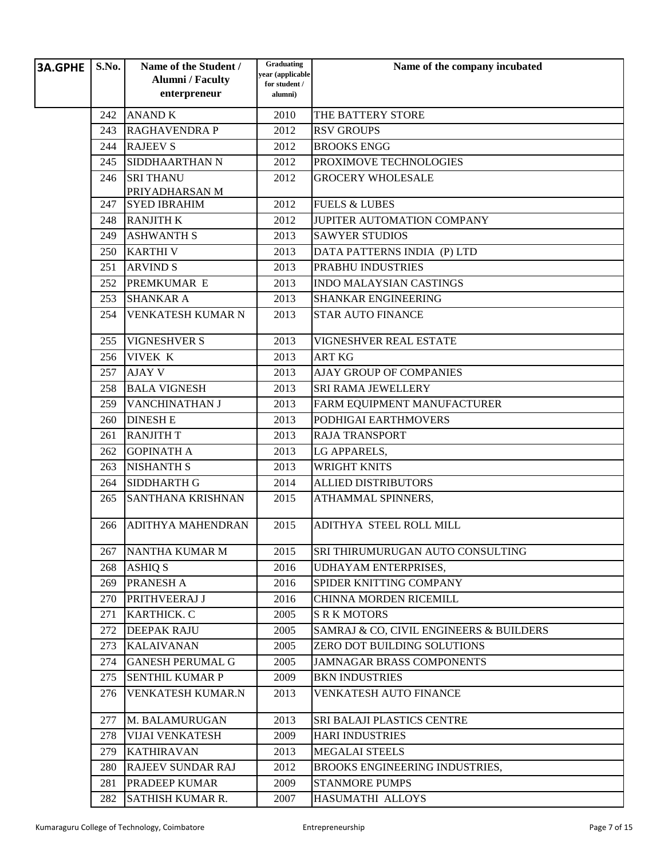| <b>3A.GPHE</b> | S.No. | Name of the Student /    | Graduating<br>year (applicable | Name of the company incubated           |
|----------------|-------|--------------------------|--------------------------------|-----------------------------------------|
|                |       | <b>Alumni</b> / Faculty  | for student /                  |                                         |
|                |       | enterpreneur             | alumni)                        |                                         |
|                | 242   | <b>ANAND K</b>           | 2010                           | THE BATTERY STORE                       |
|                | 243   | <b>RAGHAVENDRA P</b>     | 2012                           | <b>RSV GROUPS</b>                       |
|                | 244   | <b>RAJEEV S</b>          | 2012                           | <b>BROOKS ENGG</b>                      |
|                | 245   | SIDDHAARTHAN N           | 2012                           | PROXIMOVE TECHNOLOGIES                  |
|                | 246   | <b>SRITHANU</b>          | 2012                           | <b>GROCERY WHOLESALE</b>                |
|                |       | PRIYADHARSAN M           |                                |                                         |
|                | 247   | <b>SYED IBRAHIM</b>      | 2012                           | <b>FUELS &amp; LUBES</b>                |
|                | 248   | <b>RANJITH K</b>         | 2012                           | JUPITER AUTOMATION COMPANY              |
|                | 249   | <b>ASHWANTH S</b>        | 2013                           | <b>SAWYER STUDIOS</b>                   |
|                | 250   | <b>KARTHIV</b>           | 2013                           | DATA PATTERNS INDIA (P) LTD             |
|                | 251   | <b>ARVIND S</b>          | 2013                           | PRABHU INDUSTRIES                       |
|                | 252   | PREMKUMAR E              | 2013                           | <b>INDO MALAYSIAN CASTINGS</b>          |
|                | 253   | <b>SHANKAR A</b>         | 2013                           | <b>SHANKAR ENGINEERING</b>              |
|                | 254   | VENKATESH KUMAR N        | 2013                           | <b>STAR AUTO FINANCE</b>                |
|                | 255   | <b>VIGNESHVER S</b>      | 2013                           | VIGNESHVER REAL ESTATE                  |
|                | 256   | <b>VIVEK K</b>           | 2013                           | <b>ART KG</b>                           |
|                | 257   | <b>AJAY V</b>            | 2013                           | AJAY GROUP OF COMPANIES                 |
|                | 258   | <b>BALA VIGNESH</b>      | 2013                           | SRI RAMA JEWELLERY                      |
|                | 259   | VANCHINATHAN J           | 2013                           | FARM EQUIPMENT MANUFACTURER             |
|                | 260   | <b>DINESH E</b>          | 2013                           | PODHIGAI EARTHMOVERS                    |
|                | 261   | <b>RANJITH T</b>         | 2013                           | <b>RAJA TRANSPORT</b>                   |
|                | 262   | <b>GOPINATH A</b>        | 2013                           | LG APPARELS,                            |
|                | 263   | <b>NISHANTH S</b>        | 2013                           | <b>WRIGHT KNITS</b>                     |
|                | 264   | SIDDHARTH G              | 2014                           | <b>ALLIED DISTRIBUTORS</b>              |
|                | 265   | <b>SANTHANA KRISHNAN</b> | 2015                           | ATHAMMAL SPINNERS,                      |
|                | 266   | <b>ADITHYA MAHENDRAN</b> | 2015                           | ADITHYA STEEL ROLL MILL                 |
|                | 267   | NANTHA KUMAR M           | 2015                           | SRI THIRUMURUGAN AUTO CONSULTING        |
|                | 268   | <b>ASHIQ S</b>           | 2016                           | <b>UDHAYAM ENTERPRISES,</b>             |
|                | 269   | PRANESH A                | 2016                           | SPIDER KNITTING COMPANY                 |
|                | 270   | PRITHVEERAJ J            | 2016                           | <b>CHINNA MORDEN RICEMILL</b>           |
|                | 271   | <b>KARTHICK. C</b>       | 2005                           | <b>S R K MOTORS</b>                     |
|                | 272   | <b>DEEPAK RAJU</b>       | 2005                           | SAMRAJ & CO, CIVIL ENGINEERS & BUILDERS |
|                | 273   | <b>KALAIVANAN</b>        | 2005                           | ZERO DOT BUILDING SOLUTIONS             |
|                | 274   | <b>GANESH PERUMAL G</b>  | 2005                           | <b>JAMNAGAR BRASS COMPONENTS</b>        |
|                | 275   | <b>SENTHIL KUMAR P</b>   | 2009                           | <b>BKN INDUSTRIES</b>                   |
|                | 276   | VENKATESH KUMAR.N        | 2013                           | VENKATESH AUTO FINANCE                  |
|                | 277   | M. BALAMURUGAN           | 2013                           | SRI BALAJI PLASTICS CENTRE              |
|                | 278   | <b>VIJAI VENKATESH</b>   | 2009                           | <b>HARI INDUSTRIES</b>                  |
|                | 279   | <b>KATHIRAVAN</b>        | 2013                           | <b>MEGALAI STEELS</b>                   |
|                | 280   | <b>RAJEEV SUNDAR RAJ</b> | 2012                           | BROOKS ENGINEERING INDUSTRIES,          |
|                | 281   | PRADEEP KUMAR            | 2009                           | <b>STANMORE PUMPS</b>                   |
|                | 282   | <b>SATHISH KUMAR R.</b>  | 2007                           | HASUMATHI ALLOYS                        |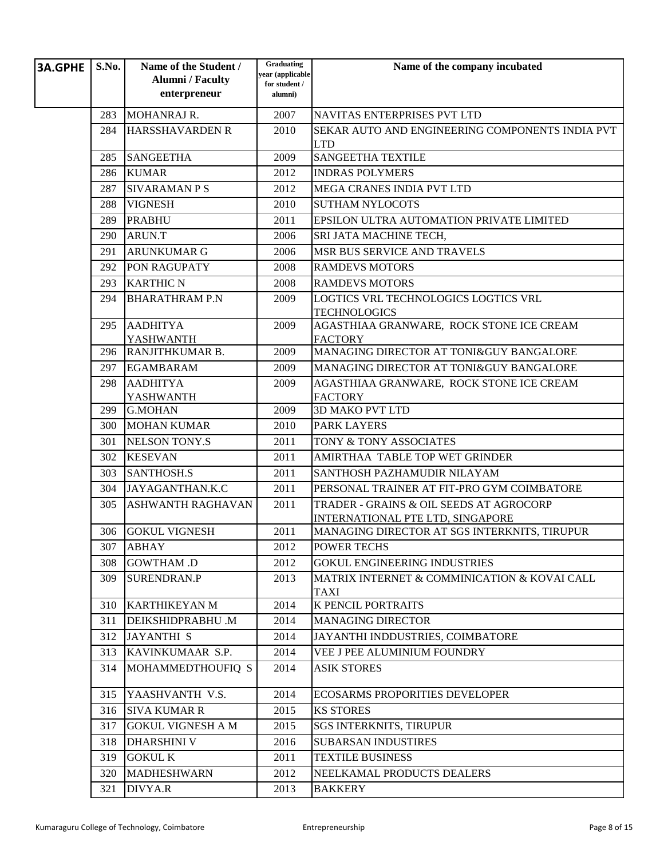| <b>3A.GPHE</b> | S.No. | Name of the Student /<br><b>Alumni</b> / Faculty | Graduating<br>year (applicable | Name of the company incubated                                               |
|----------------|-------|--------------------------------------------------|--------------------------------|-----------------------------------------------------------------------------|
|                |       | enterpreneur                                     | for student /<br>alumni)       |                                                                             |
|                | 283   | MOHANRAJ R.                                      | 2007                           | NAVITAS ENTERPRISES PVT LTD                                                 |
|                | 284   | <b>HARSSHAVARDEN R</b>                           | 2010                           | SEKAR AUTO AND ENGINEERING COMPONENTS INDIA PVT<br><b>LTD</b>               |
|                | 285   | <b>SANGEETHA</b>                                 | 2009                           | <b>SANGEETHA TEXTILE</b>                                                    |
|                | 286   | <b>KUMAR</b>                                     | 2012                           | <b>INDRAS POLYMERS</b>                                                      |
|                | 287   | <b>SIVARAMAN P S</b>                             | 2012                           | <b>MEGA CRANES INDIA PVT LTD</b>                                            |
|                | 288   | <b>VIGNESH</b>                                   | 2010                           | <b>SUTHAM NYLOCOTS</b>                                                      |
|                | 289   | <b>PRABHU</b>                                    | 2011                           | EPSILON ULTRA AUTOMATION PRIVATE LIMITED                                    |
|                | 290   | ARUN.T                                           | 2006                           | SRI JATA MACHINE TECH,                                                      |
|                | 291   | <b>ARUNKUMAR G</b>                               | 2006                           | MSR BUS SERVICE AND TRAVELS                                                 |
|                | 292   | PON RAGUPATY                                     | 2008                           | <b>RAMDEVS MOTORS</b>                                                       |
|                | 293   | <b>KARTHIC N</b>                                 | 2008                           | <b>RAMDEVS MOTORS</b>                                                       |
|                | 294   | <b>BHARATHRAM P.N</b>                            | 2009                           | LOGTICS VRL TECHNOLOGICS LOGTICS VRL                                        |
|                |       |                                                  |                                | <b>TECHNOLOGICS</b>                                                         |
|                | 295   | <b>AADHITYA</b>                                  | 2009                           | AGASTHIAA GRANWARE, ROCK STONE ICE CREAM                                    |
|                | 296   | <b>YASHWANTH</b><br>RANJITHKUMAR B.              | 2009                           | <b>FACTORY</b><br>MANAGING DIRECTOR AT TONI&GUY BANGALORE                   |
|                | 297   | <b>EGAMBARAM</b>                                 | 2009                           | MANAGING DIRECTOR AT TONI&GUY BANGALORE                                     |
|                | 298   | <b>AADHITYA</b>                                  | 2009                           | AGASTHIAA GRANWARE, ROCK STONE ICE CREAM                                    |
|                |       | YASHWANTH                                        |                                | <b>FACTORY</b>                                                              |
|                | 299   | <b>G.MOHAN</b>                                   | 2009                           | <b>3D MAKO PVT LTD</b>                                                      |
|                | 300   | <b>MOHAN KUMAR</b>                               | 2010                           | <b>PARK LAYERS</b>                                                          |
|                | 301   | <b>NELSON TONY.S</b>                             | 2011                           | TONY & TONY ASSOCIATES                                                      |
|                | 302   | <b>KESEVAN</b>                                   | 2011                           | AMIRTHAA TABLE TOP WET GRINDER                                              |
|                | 303   | <b>SANTHOSH.S</b>                                | 2011                           | SANTHOSH PAZHAMUDIR NILAYAM                                                 |
|                | 304   | JAYAGANTHAN.K.C                                  | 2011                           | PERSONAL TRAINER AT FIT-PRO GYM COIMBATORE                                  |
|                | 305   | <b>ASHWANTH RAGHAVAN</b>                         | 2011                           | TRADER - GRAINS & OIL SEEDS AT AGROCORP<br>INTERNATIONAL PTE LTD, SINGAPORE |
|                | 306   | <b>GOKUL VIGNESH</b>                             | 2011                           | MANAGING DIRECTOR AT SGS INTERKNITS, TIRUPUR                                |
|                | 307   | <b>ABHAY</b>                                     | 2012                           | <b>POWER TECHS</b>                                                          |
|                | 308   | <b>GOWTHAM .D</b>                                | 2012                           | <b>GOKUL ENGINEERING INDUSTRIES</b>                                         |
|                | 309   | <b>SURENDRAN.P</b>                               | 2013                           | MATRIX INTERNET & COMMINICATION & KOVAI CALL                                |
|                |       |                                                  |                                | <b>TAXI</b>                                                                 |
|                | 310   | <b>KARTHIKEYAN M</b>                             | 2014                           | K PENCIL PORTRAITS                                                          |
|                | 311   | <b>DEIKSHIDPRABHU.M</b>                          | 2014                           | <b>MANAGING DIRECTOR</b>                                                    |
|                | 312   | <b>JAYANTHI S</b>                                | 2014                           | JAYANTHI INDDUSTRIES, COIMBATORE                                            |
|                | 313   | KAVINKUMAAR S.P.                                 | 2014                           | VEE J PEE ALUMINIUM FOUNDRY                                                 |
|                | 314   | MOHAMMEDTHOUFIQ S                                | 2014                           | <b>ASIK STORES</b>                                                          |
|                | 315   | YAASHVANTH V.S.                                  | 2014                           | ECOSARMS PROPORITIES DEVELOPER                                              |
|                | 316   | <b>SIVA KUMAR R</b>                              | 2015                           | <b>KS STORES</b>                                                            |
|                | 317   | <b>GOKUL VIGNESH A M</b>                         | 2015                           | <b>SGS INTERKNITS, TIRUPUR</b>                                              |
|                | 318   | <b>DHARSHINI V</b>                               | 2016                           | <b>SUBARSAN INDUSTIRES</b>                                                  |
|                | 319   | <b>GOKUL K</b>                                   | 2011                           | <b>TEXTILE BUSINESS</b>                                                     |
|                | 320   | <b>MADHESHWARN</b>                               | 2012                           | NEELKAMAL PRODUCTS DEALERS                                                  |
|                | 321   | DIVYA.R                                          | 2013                           | <b>BAKKERY</b>                                                              |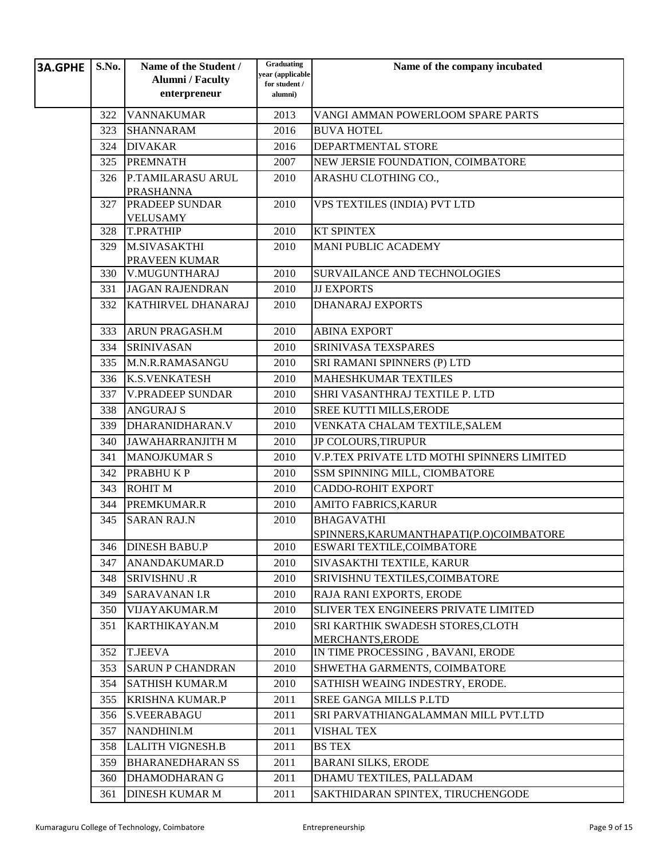| <b>3A.GPHE</b> | S.No. | Name of the Student /<br><b>Alumni</b> / Faculty<br>enterpreneur | Graduating<br>year (applicable<br>for student /<br>alumni) | Name of the company incubated                         |
|----------------|-------|------------------------------------------------------------------|------------------------------------------------------------|-------------------------------------------------------|
|                | 322   | <b>VANNAKUMAR</b>                                                | 2013                                                       | VANGI AMMAN POWERLOOM SPARE PARTS                     |
|                | 323   | <b>SHANNARAM</b>                                                 | 2016                                                       | <b>BUVA HOTEL</b>                                     |
|                | 324   | <b>DIVAKAR</b>                                                   | 2016                                                       | DEPARTMENTAL STORE                                    |
|                | 325   | <b>PREMNATH</b>                                                  | 2007                                                       | NEW JERSIE FOUNDATION, COIMBATORE                     |
|                | 326   | P.TAMILARASU ARUL                                                | 2010                                                       | ARASHU CLOTHING CO.,                                  |
|                |       | <b>PRASHANNA</b>                                                 |                                                            |                                                       |
|                | 327   | PRADEEP SUNDAR                                                   | 2010                                                       | VPS TEXTILES (INDIA) PVT LTD                          |
|                |       | <b>VELUSAMY</b>                                                  |                                                            |                                                       |
|                | 328   | <b>T.PRATHIP</b>                                                 | 2010                                                       | <b>KT SPINTEX</b>                                     |
|                | 329   | M.SIVASAKTHI                                                     | 2010                                                       | <b>MANI PUBLIC ACADEMY</b>                            |
|                | 330   | PRAVEEN KUMAR<br>V.MUGUNTHARAJ                                   | 2010                                                       | <b>SURVAILANCE AND TECHNOLOGIES</b>                   |
|                | 331   | <b>JAGAN RAJENDRAN</b>                                           | 2010                                                       | <b>JJ EXPORTS</b>                                     |
|                | 332   | <b>KATHIRVEL DHANARAJ</b>                                        | 2010                                                       | <b>DHANARAJ EXPORTS</b>                               |
|                |       |                                                                  |                                                            |                                                       |
|                | 333   | <b>ARUN PRAGASH.M</b>                                            | 2010                                                       | <b>ABINA EXPORT</b>                                   |
|                | 334   | <b>SRINIVASAN</b>                                                | 2010                                                       | SRINIVASA TEXSPARES                                   |
|                | 335   | M.N.R.RAMASANGU                                                  | 2010                                                       | SRI RAMANI SPINNERS (P) LTD                           |
|                | 336   | <b>K.S.VENKATESH</b>                                             | 2010                                                       | <b>MAHESHKUMAR TEXTILES</b>                           |
|                | 337   | <b>V.PRADEEP SUNDAR</b>                                          | 2010                                                       | SHRI VASANTHRAJ TEXTILE P. LTD                        |
|                | 338   | <b>ANGURAJ S</b>                                                 | 2010                                                       | SREE KUTTI MILLS, ERODE                               |
|                | 339   | DHARANIDHARAN.V                                                  | 2010                                                       | VENKATA CHALAM TEXTILE, SALEM                         |
|                | 340   | <b>JAWAHARRANJITH M</b>                                          | 2010                                                       | <b>JP COLOURS, TIRUPUR</b>                            |
|                | 341   | <b>MANOJKUMAR S</b>                                              | 2010                                                       | V.P.TEX PRIVATE LTD MOTHI SPINNERS LIMITED            |
|                | 342   | <b>PRABHUKP</b>                                                  | 2010                                                       | SSM SPINNING MILL, CIOMBATORE                         |
|                | 343   | <b>ROHIT M</b>                                                   | 2010                                                       | <b>CADDO-ROHIT EXPORT</b>                             |
|                | 344   | PREMKUMAR.R                                                      | 2010                                                       | AMITO FABRICS, KARUR                                  |
|                | 345   | <b>SARAN RAJ.N</b>                                               | 2010                                                       | <b>BHAGAVATHI</b>                                     |
|                |       |                                                                  |                                                            | SPINNERS, KARUMANTHAPATI(P.O)COIMBATORE               |
|                | 346   | <b>DINESH BABU.P</b>                                             | 2010                                                       | ESWARI TEXTILE,COIMBATORE                             |
|                | 347   | ANANDAKUMAR.D                                                    | 2010                                                       | SIVASAKTHI TEXTILE, KARUR                             |
|                | 348   | <b>SRIVISHNU .R</b>                                              | 2010                                                       | SRIVISHNU TEXTILES, COIMBATORE                        |
|                | 349   | <b>SARAVANAN I.R</b>                                             | 2010                                                       | RAJA RANI EXPORTS, ERODE                              |
|                | 350   | VIJAYAKUMAR.M                                                    | 2010                                                       | <b>SLIVER TEX ENGINEERS PRIVATE LIMITED</b>           |
|                | 351   | KARTHIKAYAN.M                                                    | 2010                                                       | SRI KARTHIK SWADESH STORES, CLOTH<br>MERCHANTS, ERODE |
|                | 352   | <b>T.JEEVA</b>                                                   | 2010                                                       | IN TIME PROCESSING, BAVANI, ERODE                     |
|                | 353   | <b>SARUN P CHANDRAN</b>                                          | 2010                                                       | SHWETHA GARMENTS, COIMBATORE                          |
|                | 354   | <b>SATHISH KUMAR.M</b>                                           | 2010                                                       | SATHISH WEAING INDESTRY, ERODE.                       |
|                | 355   | <b>KRISHNA KUMAR.P</b>                                           | 2011                                                       | <b>SREE GANGA MILLS P.LTD</b>                         |
|                | 356   | <b>S.VEERABAGU</b>                                               | 2011                                                       | SRI PARVATHIANGALAMMAN MILL PVT.LTD                   |
|                | 357   | NANDHINI.M                                                       | 2011                                                       | <b>VISHAL TEX</b>                                     |
|                | 358   | <b>LALITH VIGNESH.B</b>                                          | 2011                                                       | <b>BS TEX</b>                                         |
|                | 359   | <b>BHARANEDHARAN SS</b>                                          | 2011                                                       | <b>BARANI SILKS, ERODE</b>                            |
|                | 360   | <b>DHAMODHARAN G</b>                                             | 2011                                                       | DHAMU TEXTILES, PALLADAM                              |
|                | 361   | <b>DINESH KUMAR M</b>                                            | 2011                                                       | SAKTHIDARAN SPINTEX, TIRUCHENGODE                     |
|                |       |                                                                  |                                                            |                                                       |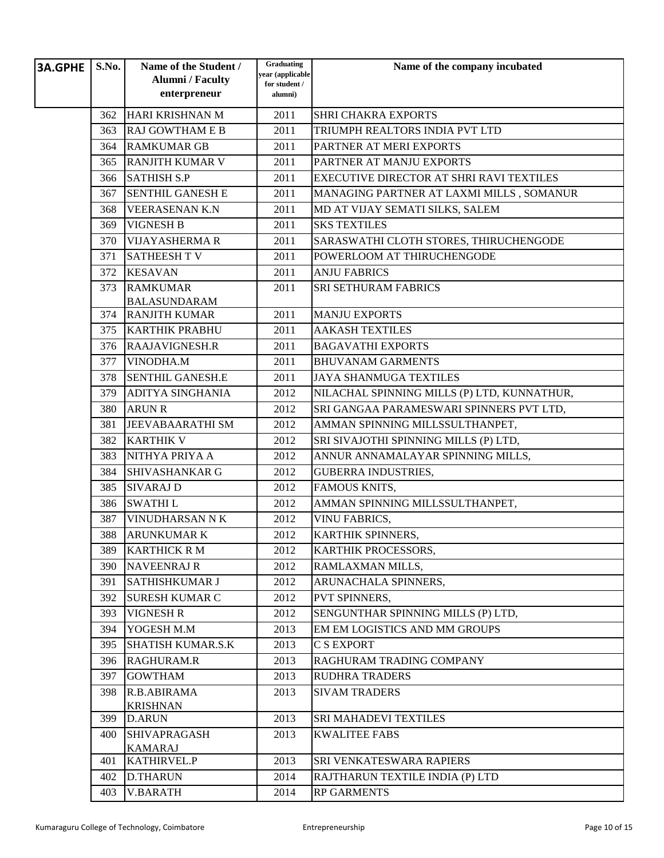| <b>3A.GPHE</b> | S.No. | Name of the Student /<br><b>Alumni</b> / Faculty | Graduating<br>year (applicable | Name of the company incubated                                       |
|----------------|-------|--------------------------------------------------|--------------------------------|---------------------------------------------------------------------|
|                |       | enterpreneur                                     | for student /<br>alumni)       |                                                                     |
|                | 362   | HARI KRISHNAN M                                  | 2011                           | <b>SHRI CHAKRA EXPORTS</b>                                          |
|                | 363   | <b>RAJ GOWTHAM E B</b>                           | 2011                           | TRIUMPH REALTORS INDIA PVT LTD                                      |
|                | 364   | <b>RAMKUMAR GB</b>                               | 2011                           | PARTNER AT MERI EXPORTS                                             |
|                | 365   | <b>RANJITH KUMAR V</b>                           | 2011                           | PARTNER AT MANJU EXPORTS                                            |
|                | 366   | <b>SATHISH S.P</b>                               | 2011                           | EXECUTIVE DIRECTOR AT SHRI RAVI TEXTILES                            |
|                | 367   | <b>SENTHIL GANESH E</b>                          | 2011                           | MANAGING PARTNER AT LAXMI MILLS, SOMANUR                            |
|                | 368   | <b>VEERASENAN K.N</b>                            | 2011                           | MD AT VIJAY SEMATI SILKS, SALEM                                     |
|                | 369   | <b>VIGNESH B</b>                                 | 2011                           | <b>SKS TEXTILES</b>                                                 |
|                | 370   | <b>VIJAYASHERMA R</b>                            | 2011                           | SARASWATHI CLOTH STORES, THIRUCHENGODE                              |
|                | 371   | <b>SATHEESH T V</b>                              | 2011                           | POWERLOOM AT THIRUCHENGODE                                          |
|                | 372   | <b>KESAVAN</b>                                   | 2011                           | <b>ANJU FABRICS</b>                                                 |
|                | 373   | <b>RAMKUMAR</b>                                  | 2011                           | <b>SRI SETHURAM FABRICS</b>                                         |
|                |       | <b>BALASUNDARAM</b>                              |                                |                                                                     |
|                | 374   | <b>RANJITH KUMAR</b>                             | 2011                           | <b>MANJU EXPORTS</b>                                                |
|                | 375   | <b>KARTHIK PRABHU</b>                            | 2011                           | <b>AAKASH TEXTILES</b>                                              |
|                | 376   | <b>RAAJAVIGNESH.R</b>                            | 2011                           | <b>BAGAVATHI EXPORTS</b>                                            |
|                | 377   | VINODHA.M                                        | 2011                           | <b>BHUVANAM GARMENTS</b>                                            |
|                | 378   | <b>SENTHIL GANESH.E</b>                          | 2011                           | <b>JAYA SHANMUGA TEXTILES</b>                                       |
|                | 379   | <b>ADITYA SINGHANIA</b>                          | 2012                           | NILACHAL SPINNING MILLS (P) LTD, KUNNATHUR,                         |
|                | 380   | <b>ARUN R</b>                                    | 2012                           | SRI GANGAA PARAMESWARI SPINNERS PVT LTD,                            |
|                | 381   | <b>JEEVABAARATHI SM</b>                          | 2012                           | AMMAN SPINNING MILLSSULTHANPET,                                     |
|                | 382   | <b>KARTHIK V</b>                                 | 2012                           | SRI SIVAJOTHI SPINNING MILLS (P) LTD,                               |
|                | 383   | NITHYA PRIYA A                                   | 2012                           | ANNUR ANNAMALAYAR SPINNING MILLS,                                   |
|                | 384   | <b>SHIVASHANKAR G</b>                            | 2012                           | <b>GUBERRA INDUSTRIES,</b>                                          |
|                | 385   | <b>SIVARAJ D</b>                                 | 2012                           | FAMOUS KNITS,                                                       |
|                | 386   | <b>SWATHIL</b>                                   | 2012                           | AMMAN SPINNING MILLSSULTHANPET,                                     |
|                | 387   | <b>VINUDHARSAN N K</b>                           | 2012                           | <b>VINU FABRICS,</b>                                                |
|                | 388   | <b>ARUNKUMAR K</b>                               | 2012                           | KARTHIK SPINNERS,                                                   |
|                | 389   | <b>KARTHICK RM</b>                               | 2012                           | KARTHIK PROCESSORS,                                                 |
|                | 390   | <b>NAVEENRAJ R</b>                               | 2012                           | RAMLAXMAN MILLS,                                                    |
|                | 391   | <b>SATHISHKUMAR J</b>                            | 2012                           | ARUNACHALA SPINNERS,                                                |
|                | 392   | <b>SURESH KUMAR C</b>                            | 2012                           | PVT SPINNERS,                                                       |
|                | 393   | <b>VIGNESH R</b>                                 | 2012                           | SENGUNTHAR SPINNING MILLS (P) LTD,<br>EM EM LOGISTICS AND MM GROUPS |
|                | 394   | YOGESH M.M                                       | 2013                           |                                                                     |
|                | 395   | <b>SHATISH KUMAR.S.K</b>                         | 2013                           | C S EXPORT                                                          |
|                | 396   | <b>RAGHURAM.R</b>                                | 2013                           | RAGHURAM TRADING COMPANY                                            |
|                | 397   | <b>GOWTHAM</b><br>R.B.ABIRAMA                    | 2013                           | <b>RUDHRA TRADERS</b>                                               |
|                | 398   | <b>KRISHNAN</b>                                  | 2013                           | <b>SIVAM TRADERS</b>                                                |
|                | 399   | <b>D.ARUN</b>                                    | 2013                           | SRI MAHADEVI TEXTILES                                               |
|                | 400   | <b>SHIVAPRAGASH</b>                              | 2013                           | <b>KWALITEE FABS</b>                                                |
|                |       | <b>KAMARAJ</b>                                   |                                |                                                                     |
|                | 401   | <b>KATHIRVEL.P</b>                               | 2013                           | SRI VENKATESWARA RAPIERS                                            |
|                | 402   | <b>D.THARUN</b>                                  | 2014                           | RAJTHARUN TEXTILE INDIA (P) LTD                                     |
|                | 403   | <b>V.BARATH</b>                                  | 2014                           | <b>RP GARMENTS</b>                                                  |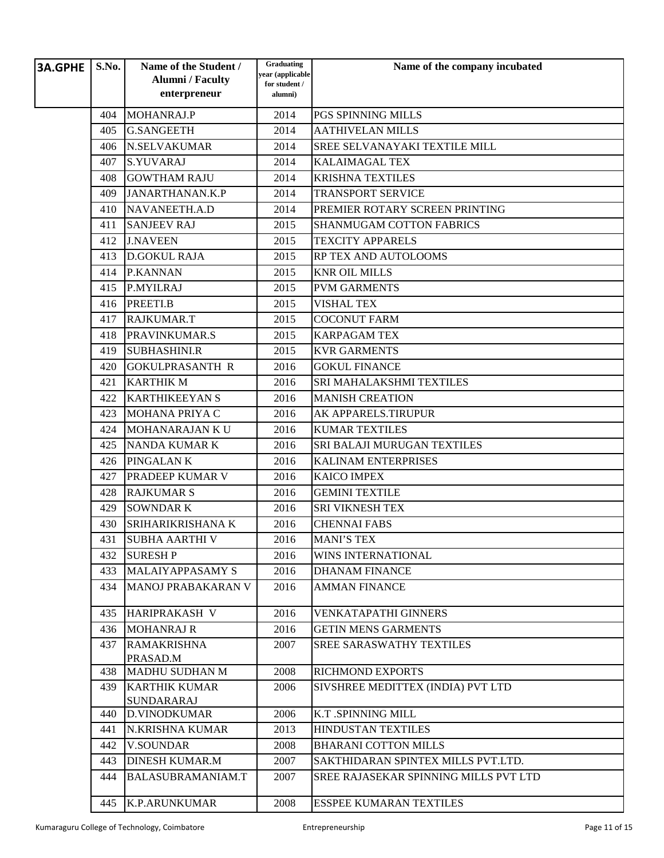| <b>3A.GPHE</b> | S.No. | Name of the Student /<br><b>Alumni</b> / Faculty<br>enterpreneur | Graduating<br>year (applicable<br>for student /<br>alumni) | Name of the company incubated         |
|----------------|-------|------------------------------------------------------------------|------------------------------------------------------------|---------------------------------------|
|                | 404   | MOHANRAJ.P                                                       | 2014                                                       | PGS SPINNING MILLS                    |
|                | 405   | <b>G.SANGEETH</b>                                                | 2014                                                       | <b>AATHIVELAN MILLS</b>               |
|                | 406   | <b>N.SELVAKUMAR</b>                                              | 2014                                                       | SREE SELVANAYAKI TEXTILE MILL         |
|                | 407   | <b>S.YUVARAJ</b>                                                 | 2014                                                       | <b>KALAIMAGAL TEX</b>                 |
|                | 408   | <b>GOWTHAM RAJU</b>                                              | 2014                                                       | <b>KRISHNA TEXTILES</b>               |
|                | 409   | JANARTHANAN.K.P                                                  | 2014                                                       | <b>TRANSPORT SERVICE</b>              |
|                | 410   | NAVANEETH.A.D                                                    | 2014                                                       | PREMIER ROTARY SCREEN PRINTING        |
|                | 411   | <b>SANJEEV RAJ</b>                                               | 2015                                                       | <b>SHANMUGAM COTTON FABRICS</b>       |
|                | 412   | <b>J.NAVEEN</b>                                                  | 2015                                                       | <b>TEXCITY APPARELS</b>               |
|                | 413   | <b>D.GOKUL RAJA</b>                                              | 2015                                                       | RP TEX AND AUTOLOOMS                  |
|                | 414   | <b>P.KANNAN</b>                                                  | 2015                                                       | <b>KNR OIL MILLS</b>                  |
|                | 415   | P.MYILRAJ                                                        | 2015                                                       | <b>PVM GARMENTS</b>                   |
|                | 416   | PREETI.B                                                         | 2015                                                       | <b>VISHAL TEX</b>                     |
|                | 417   | <b>RAJKUMAR.T</b>                                                | 2015                                                       | <b>COCONUT FARM</b>                   |
|                | 418   | PRAVINKUMAR.S                                                    | 2015                                                       | <b>KARPAGAM TEX</b>                   |
|                | 419   | <b>SUBHASHINI.R</b>                                              | 2015                                                       | <b>KVR GARMENTS</b>                   |
|                | 420   | <b>GOKULPRASANTH R</b>                                           | 2016                                                       | <b>GOKUL FINANCE</b>                  |
|                | 421   | <b>KARTHIK M</b>                                                 | 2016                                                       | SRI MAHALAKSHMI TEXTILES              |
|                | 422   | <b>KARTHIKEEYAN S</b>                                            | 2016                                                       | <b>MANISH CREATION</b>                |
|                | 423   | MOHANA PRIYA C                                                   | 2016                                                       | AK APPARELS.TIRUPUR                   |
|                | 424   | <b>MOHANARAJAN K U</b>                                           | 2016                                                       | <b>KUMAR TEXTILES</b>                 |
|                | 425   | <b>NANDA KUMAR K</b>                                             | 2016                                                       | SRI BALAJI MURUGAN TEXTILES           |
|                | 426   | PINGALAN K                                                       | 2016                                                       | <b>KALINAM ENTERPRISES</b>            |
|                | 427   | PRADEEP KUMAR V                                                  | 2016                                                       | <b>KAICO IMPEX</b>                    |
|                | 428   | <b>RAJKUMAR S</b>                                                | 2016                                                       | <b>GEMINI TEXTILE</b>                 |
|                | 429   | <b>SOWNDARK</b>                                                  | 2016                                                       | <b>SRI VIKNESH TEX</b>                |
|                | 430   | SRIHARIKRISHANA K                                                | 2016                                                       | <b>CHENNAI FABS</b>                   |
|                | 431   | <b>SUBHA AARTHI V</b>                                            | 2016                                                       | <b>MANI'S TEX</b>                     |
|                | 432   | <b>SURESH P</b>                                                  | 2016                                                       | WINS INTERNATIONAL                    |
|                | 433   | <b>MALAIYAPPASAMY S</b>                                          | 2016                                                       | <b>DHANAM FINANCE</b>                 |
|                | 434   | <b>MANOJ PRABAKARAN V</b>                                        | 2016                                                       | <b>AMMAN FINANCE</b>                  |
|                | 435   | HARIPRAKASH V                                                    | 2016                                                       | <b>VENKATAPATHI GINNERS</b>           |
|                | 436   | <b>MOHANRAJ R</b>                                                | 2016                                                       | <b>GETIN MENS GARMENTS</b>            |
|                | 437   | <b>RAMAKRISHNA</b><br>PRASAD.M                                   | 2007                                                       | <b>SREE SARASWATHY TEXTILES</b>       |
|                | 438   | <b>MADHU SUDHAN M</b>                                            | 2008                                                       | <b>RICHMOND EXPORTS</b>               |
|                | 439   | <b>KARTHIK KUMAR</b><br><b>SUNDARARAJ</b>                        | 2006                                                       | SIVSHREE MEDITTEX (INDIA) PVT LTD     |
|                | 440   | <b>D.VINODKUMAR</b>                                              | 2006                                                       | K.T .SPINNING MILL                    |
|                | 441   | N.KRISHNA KUMAR                                                  | 2013                                                       | <b>HINDUSTAN TEXTILES</b>             |
|                | 442   | <b>V.SOUNDAR</b>                                                 | 2008                                                       | <b>BHARANI COTTON MILLS</b>           |
|                | 443   | <b>DINESH KUMAR.M</b>                                            | 2007                                                       | SAKTHIDARAN SPINTEX MILLS PVT.LTD.    |
|                | 444   | <b>BALASUBRAMANIAM.T</b>                                         | 2007                                                       | SREE RAJASEKAR SPINNING MILLS PVT LTD |
|                | 445   | <b>K.P.ARUNKUMAR</b>                                             | 2008                                                       | <b>ESSPEE KUMARAN TEXTILES</b>        |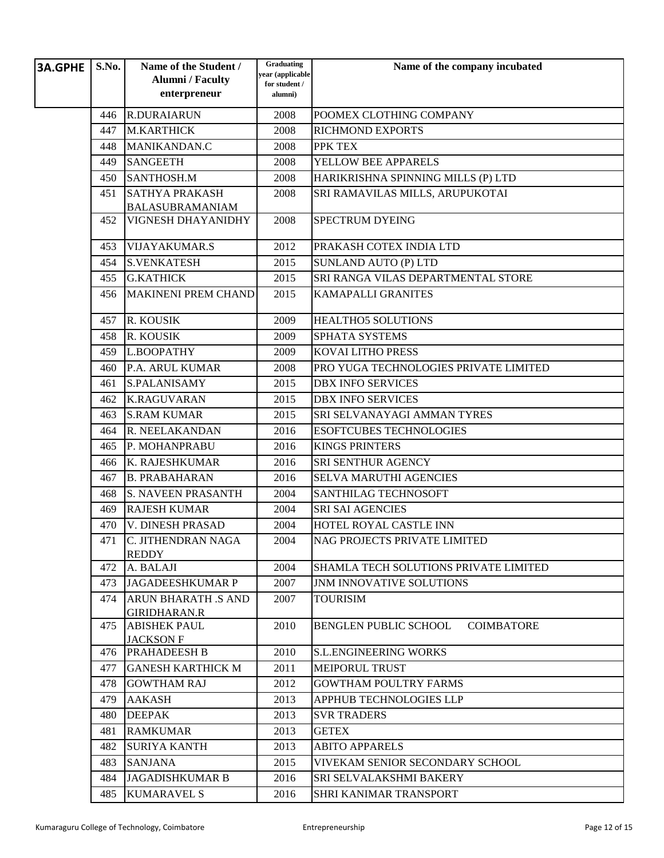| <b>3A.GPHE</b> | S.No. | Name of the Student /                             | Graduating<br>year (applicable | Name of the company incubated                     |
|----------------|-------|---------------------------------------------------|--------------------------------|---------------------------------------------------|
|                |       | <b>Alumni</b> / Faculty                           | for student /                  |                                                   |
|                |       | enterpreneur                                      | alumni)                        |                                                   |
|                | 446   | <b>R.DURAIARUN</b>                                | 2008                           | POOMEX CLOTHING COMPANY                           |
|                | 447   | <b>M.KARTHICK</b>                                 | 2008                           | <b>RICHMOND EXPORTS</b>                           |
|                | 448   | MANIKANDAN.C                                      | 2008                           | PPK TEX                                           |
|                | 449   | <b>SANGEETH</b>                                   | 2008                           | YELLOW BEE APPARELS                               |
|                | 450   | SANTHOSH.M                                        | 2008                           | HARIKRISHNA SPINNING MILLS (P) LTD                |
|                | 451   | <b>SATHYA PRAKASH</b><br><b>BALASUBRAMANIAM</b>   | 2008                           | SRI RAMAVILAS MILLS, ARUPUKOTAI                   |
|                | 452   | VIGNESH DHAYANIDHY                                | 2008                           | <b>SPECTRUM DYEING</b>                            |
|                | 453   | <b>VIJAYAKUMAR.S</b>                              | 2012                           | PRAKASH COTEX INDIA LTD                           |
|                | 454   | <b>S.VENKATESH</b>                                | 2015                           | <b>SUNLAND AUTO (P) LTD</b>                       |
|                | 455   | <b>G.KATHICK</b>                                  | 2015                           | SRI RANGA VILAS DEPARTMENTAL STORE                |
|                | 456   | <b>MAKINENI PREM CHAND</b>                        | 2015                           | <b>KAMAPALLI GRANITES</b>                         |
|                | 457   | R. KOUSIK                                         | 2009                           | <b>HEALTHO5 SOLUTIONS</b>                         |
|                | 458   | R. KOUSIK                                         | 2009                           | <b>SPHATA SYSTEMS</b>                             |
|                | 459   | L.BOOPATHY                                        | 2009                           | <b>KOVAI LITHO PRESS</b>                          |
|                | 460   | P.A. ARUL KUMAR                                   | 2008                           | PRO YUGA TECHNOLOGIES PRIVATE LIMITED             |
|                | 461   | <b>S.PALANISAMY</b>                               | 2015                           | <b>DBX INFO SERVICES</b>                          |
|                | 462   | <b>K.RAGUVARAN</b>                                | 2015                           | <b>DBX INFO SERVICES</b>                          |
|                | 463   | <b>S.RAM KUMAR</b>                                | 2015                           | SRI SELVANAYAGI AMMAN TYRES                       |
|                | 464   | R. NEELAKANDAN                                    | 2016                           | <b>ESOFTCUBES TECHNOLOGIES</b>                    |
|                | 465   | P. MOHANPRABU                                     | 2016                           | <b>KINGS PRINTERS</b>                             |
|                | 466   | K. RAJESHKUMAR                                    | 2016                           | SRI SENTHUR AGENCY                                |
|                | 467   | <b>B. PRABAHARAN</b>                              | 2016                           | <b>SELVA MARUTHI AGENCIES</b>                     |
|                | 468   | <b>S. NAVEEN PRASANTH</b>                         | 2004                           | <b>SANTHILAG TECHNOSOFT</b>                       |
|                | 469   | <b>RAJESH KUMAR</b>                               | 2004                           | <b>SRI SAI AGENCIES</b>                           |
|                | 470   | <b>V. DINESH PRASAD</b>                           | 2004                           | HOTEL ROYAL CASTLE INN                            |
|                | 471   | C. JITHENDRAN NAGA<br><b>REDDY</b>                | 2004                           | NAG PROJECTS PRIVATE LIMITED                      |
|                | 472   | A. BALAJI                                         | 2004                           | <b>SHAMLA TECH SOLUTIONS PRIVATE LIMITED</b>      |
|                | 473   | <b>JAGADEESHKUMAR P</b>                           | 2007                           | <b>JNM INNOVATIVE SOLUTIONS</b>                   |
|                | 474   | <b>ARUN BHARATH .S AND</b><br><b>GIRIDHARAN.R</b> | 2007                           | TOURISIM                                          |
|                | 475   | <b>ABISHEK PAUL</b><br><b>JACKSON F</b>           | 2010                           | <b>BENGLEN PUBLIC SCHOOL</b><br><b>COIMBATORE</b> |
|                | 476   | <b>PRAHADEESH B</b>                               | 2010                           | <b>S.L.ENGINEERING WORKS</b>                      |
|                | 477   | <b>GANESH KARTHICK M</b>                          | 2011                           | <b>MEIPORUL TRUST</b>                             |
|                | 478   | <b>GOWTHAM RAJ</b>                                | 2012                           | <b>GOWTHAM POULTRY FARMS</b>                      |
|                | 479   | <b>AAKASH</b>                                     | 2013                           | APPHUB TECHNOLOGIES LLP                           |
|                | 480   | <b>DEEPAK</b>                                     | 2013                           | <b>SVR TRADERS</b>                                |
|                | 481   | <b>RAMKUMAR</b>                                   | 2013                           | <b>GETEX</b>                                      |
|                | 482   | <b>SURIYA KANTH</b>                               | 2013                           | <b>ABITO APPARELS</b>                             |
|                | 483   | <b>SANJANA</b>                                    | 2015                           | VIVEKAM SENIOR SECONDARY SCHOOL                   |
|                | 484   | <b>JAGADISHKUMAR B</b>                            | 2016                           | <b>SRI SELVALAKSHMI BAKERY</b>                    |
|                | 485   | <b>KUMARAVEL S</b>                                | 2016                           | <b>SHRI KANIMAR TRANSPORT</b>                     |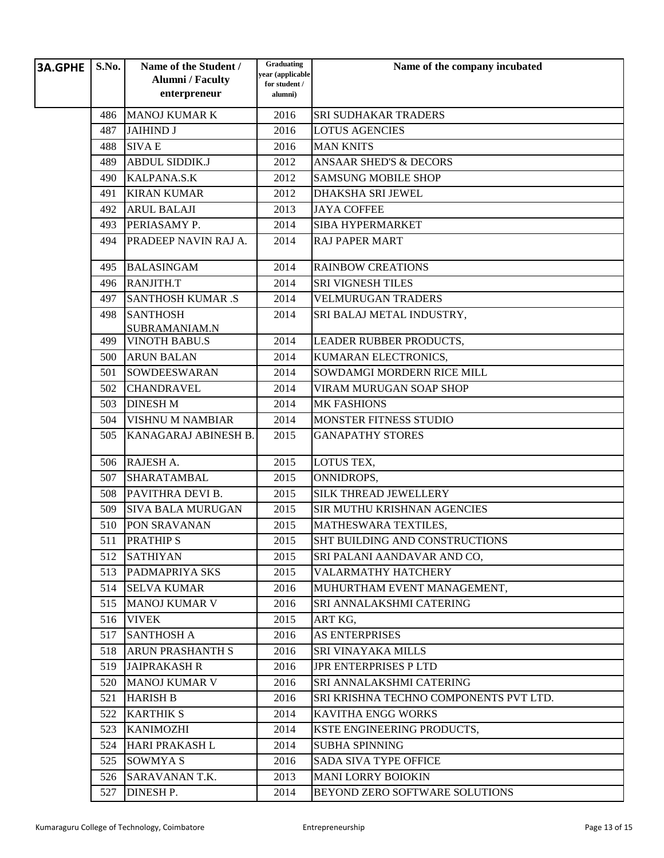| <b>3A.GPHE</b> | S.No. | Name of the Student /<br><b>Alumni</b> / Faculty | Graduating<br>year (applicable | Name of the company incubated          |
|----------------|-------|--------------------------------------------------|--------------------------------|----------------------------------------|
|                |       | enterpreneur                                     | for student /<br>alumni)       |                                        |
|                | 486   | <b>MANOJ KUMAR K</b>                             | 2016                           | <b>SRI SUDHAKAR TRADERS</b>            |
|                | 487   | <b>JAIHIND J</b>                                 | 2016                           | <b>LOTUS AGENCIES</b>                  |
|                | 488   | <b>SIVAE</b>                                     | 2016                           | <b>MAN KNITS</b>                       |
|                | 489   | <b>ABDUL SIDDIK.J</b>                            | 2012                           | <b>ANSAAR SHED'S &amp; DECORS</b>      |
|                | 490   | KALPANA.S.K                                      | 2012                           | <b>SAMSUNG MOBILE SHOP</b>             |
|                | 491   | <b>KIRAN KUMAR</b>                               | 2012                           | <b>DHAKSHA SRI JEWEL</b>               |
|                | 492   | <b>ARUL BALAJI</b>                               | 2013                           | <b>JAYA COFFEE</b>                     |
|                | 493   | PERIASAMY P.                                     | 2014                           | <b>SIBA HYPERMARKET</b>                |
|                | 494   | PRADEEP NAVIN RAJ A.                             | 2014                           | <b>RAJ PAPER MART</b>                  |
|                | 495   | <b>BALASINGAM</b>                                | 2014                           | <b>RAINBOW CREATIONS</b>               |
|                | 496   | RANJITH.T                                        | 2014                           | <b>SRI VIGNESH TILES</b>               |
|                | 497   | <b>SANTHOSH KUMAR .S</b>                         | 2014                           | <b>VELMURUGAN TRADERS</b>              |
|                | 498   | <b>SANTHOSH</b><br>SUBRAMANIAM.N                 | 2014                           | SRI BALAJ METAL INDUSTRY,              |
|                | 499   | <b>VINOTH BABU.S</b>                             | 2014                           | LEADER RUBBER PRODUCTS,                |
|                | 500   | <b>ARUN BALAN</b>                                | 2014                           | KUMARAN ELECTRONICS,                   |
|                | 501   | <b>SOWDEESWARAN</b>                              | 2014                           | SOWDAMGI MORDERN RICE MILL             |
|                | 502   | <b>CHANDRAVEL</b>                                | 2014                           | VIRAM MURUGAN SOAP SHOP                |
|                | 503   | <b>DINESH M</b>                                  | 2014                           | <b>MK FASHIONS</b>                     |
|                | 504   | <b>VISHNU M NAMBIAR</b>                          | 2014                           | MONSTER FITNESS STUDIO                 |
|                | 505   | KANAGARAJ ABINESH B.                             | 2015                           | <b>GANAPATHY STORES</b>                |
|                | 506   | RAJESH A.                                        | 2015                           | LOTUS TEX,                             |
|                | 507   | SHARATAMBAL                                      | 2015                           | ONNIDROPS,                             |
|                | 508   | PAVITHRA DEVI B.                                 | 2015                           | <b>SILK THREAD JEWELLERY</b>           |
|                | 509   | <b>SIVA BALA MURUGAN</b>                         | 2015                           | SIR MUTHU KRISHNAN AGENCIES            |
|                | 510   | PON SRAVANAN                                     | 2015                           | MATHESWARA TEXTILES,                   |
|                | 511   | <b>PRATHIP S</b>                                 | 2015                           | <b>SHT BUILDING AND CONSTRUCTIONS</b>  |
|                | 512   | <b>SATHIYAN</b>                                  | 2015                           | SRI PALANI AANDAVAR AND CO,            |
|                | 513   | <b>PADMAPRIYA SKS</b>                            | 2015                           | <b>VALARMATHY HATCHERY</b>             |
|                | 514   | <b>SELVA KUMAR</b>                               | 2016                           | MUHURTHAM EVENT MANAGEMENT,            |
|                | 515   | <b>MANOJ KUMAR V</b>                             | 2016                           | SRI ANNALAKSHMI CATERING               |
|                | 516   | <b>VIVEK</b>                                     | 2015                           | ART KG,                                |
|                | 517   | <b>SANTHOSH A</b>                                | 2016                           | <b>AS ENTERPRISES</b>                  |
|                | 518   | <b>ARUN PRASHANTH S</b>                          | 2016                           | <b>SRI VINAYAKA MILLS</b>              |
|                | 519   | <b>JAIPRAKASH R</b>                              | 2016                           | JPR ENTERPRISES P LTD                  |
|                | 520   | <b>MANOJ KUMAR V</b>                             | 2016                           | SRI ANNALAKSHMI CATERING               |
|                | 521   | <b>HARISH B</b>                                  | 2016                           | SRI KRISHNA TECHNO COMPONENTS PVT LTD. |
|                | 522   | <b>KARTHIK S</b>                                 | 2014                           | <b>KAVITHA ENGG WORKS</b>              |
|                | 523   | <b>KANIMOZHI</b>                                 | 2014                           | KSTE ENGINEERING PRODUCTS,             |
|                | 524   | HARI PRAKASH L                                   | 2014                           | <b>SUBHA SPINNING</b>                  |
|                | 525   | SOWMYA S                                         | 2016                           | <b>SADA SIVA TYPE OFFICE</b>           |
|                | 526   | SARAVANAN T.K.                                   | 2013                           | <b>MANI LORRY BOIOKIN</b>              |
|                | 527   | DINESH P.                                        | 2014                           | BEYOND ZERO SOFTWARE SOLUTIONS         |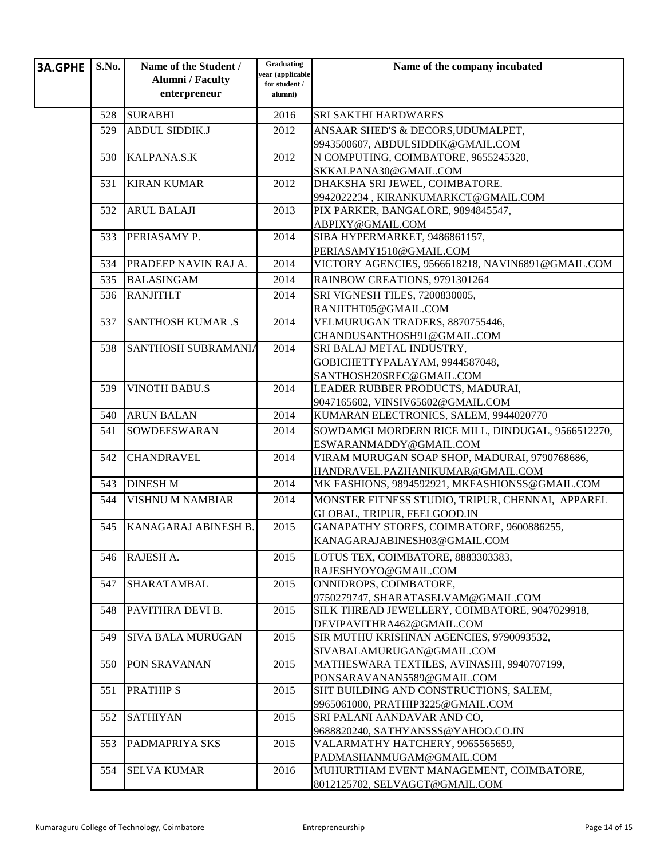| <b>3A.GPHE</b> | S.No. | Name of the Student /<br><b>Alumni</b> / Faculty | Graduating<br>year (applicable<br>for student / | Name of the company incubated                                               |
|----------------|-------|--------------------------------------------------|-------------------------------------------------|-----------------------------------------------------------------------------|
|                |       | enterpreneur                                     | alumni)                                         |                                                                             |
|                | 528   | <b>SURABHI</b>                                   | 2016                                            | <b>SRI SAKTHI HARDWARES</b>                                                 |
|                | 529   | <b>ABDUL SIDDIK.J</b>                            | 2012                                            | ANSAAR SHED'S & DECORS, UDUMALPET,                                          |
|                |       |                                                  |                                                 | 9943500607, ABDULSIDDIK@GMAIL.COM                                           |
|                | 530   | KALPANA.S.K                                      | 2012                                            | N COMPUTING, COIMBATORE, 9655245320,                                        |
|                |       |                                                  |                                                 | SKKALPANA30@GMAIL.COM                                                       |
|                | 531   | <b>KIRAN KUMAR</b>                               | 2012                                            | DHAKSHA SRI JEWEL, COIMBATORE.                                              |
|                |       |                                                  |                                                 | 9942022234, KIRANKUMARKCT@GMAIL.COM                                         |
|                | 532   | <b>ARUL BALAJI</b>                               | 2013                                            | PIX PARKER, BANGALORE, 9894845547,                                          |
|                |       |                                                  |                                                 | ABPIXY@GMAIL.COM                                                            |
|                | 533   | PERIASAMY P.                                     | 2014                                            | SIBA HYPERMARKET, 9486861157,                                               |
|                |       |                                                  |                                                 | PERIASAMY1510@GMAIL.COM                                                     |
|                | 534   | PRADEEP NAVIN RAJ A.                             | 2014                                            | VICTORY AGENCIES, 9566618218, NAVIN6891@GMAIL.COM                           |
|                | 535   | <b>BALASINGAM</b>                                | 2014                                            | RAINBOW CREATIONS, 9791301264                                               |
|                | 536   | RANJITH.T                                        | 2014                                            | SRI VIGNESH TILES, 7200830005,                                              |
|                |       |                                                  |                                                 | RANJITHT05@GMAIL.COM                                                        |
|                | 537   | <b>SANTHOSH KUMAR .S</b>                         | 2014                                            | VELMURUGAN TRADERS, 8870755446,                                             |
|                |       |                                                  |                                                 | CHANDUSANTHOSH91@GMAIL.COM                                                  |
|                | 538   | SANTHOSH SUBRAMANIA                              | 2014                                            | SRI BALAJ METAL INDUSTRY,                                                   |
|                |       |                                                  |                                                 | GOBICHETTYPALAYAM, 9944587048,                                              |
|                |       | <b>VINOTH BABU.S</b>                             |                                                 | SANTHOSH20SREC@GMAIL.COM                                                    |
|                | 539   |                                                  | 2014                                            | LEADER RUBBER PRODUCTS, MADURAI,<br>9047165602, VINSIV65602@GMAIL.COM       |
|                | 540   | <b>ARUN BALAN</b>                                | 2014                                            | KUMARAN ELECTRONICS, SALEM, 9944020770                                      |
|                |       | <b>SOWDEESWARAN</b>                              |                                                 |                                                                             |
|                | 541   |                                                  | 2014                                            | SOWDAMGI MORDERN RICE MILL, DINDUGAL, 9566512270,<br>ESWARANMADDY@GMAIL.COM |
|                | 542   | <b>CHANDRAVEL</b>                                | 2014                                            | VIRAM MURUGAN SOAP SHOP, MADURAI, 9790768686,                               |
|                |       |                                                  |                                                 | HANDRAVEL.PAZHANIKUMAR@GMAIL.COM                                            |
|                | 543   | <b>DINESH M</b>                                  | 2014                                            | MK FASHIONS, 9894592921, MKFASHIONSS@GMAIL.COM                              |
|                | 544   | <b>VISHNU M NAMBIAR</b>                          | 2014                                            | MONSTER FITNESS STUDIO, TRIPUR, CHENNAI, APPAREL                            |
|                |       |                                                  |                                                 | GLOBAL, TRIPUR, FEELGOOD.IN                                                 |
|                | 545   | KANAGARAJ ABINESH B.                             | 2015                                            | GANAPATHY STORES, COIMBATORE, 9600886255,                                   |
|                |       |                                                  |                                                 | KANAGARAJABINESH03@GMAIL.COM                                                |
|                | 546   | RAJESH A.                                        | 2015                                            | LOTUS TEX, COIMBATORE, 8883303383,                                          |
|                |       |                                                  |                                                 | RAJESHYOYO@GMAIL.COM                                                        |
|                | 547   | SHARATAMBAL                                      | 2015                                            | ONNIDROPS, COIMBATORE,                                                      |
|                |       |                                                  |                                                 | 9750279747, SHARATASELVAM@GMAIL.COM                                         |
|                | 548   | PAVITHRA DEVI B.                                 | 2015                                            | SILK THREAD JEWELLERY, COIMBATORE, 9047029918,                              |
|                |       |                                                  |                                                 | DEVIPAVITHRA462@GMAIL.COM                                                   |
|                | 549   | <b>SIVA BALA MURUGAN</b>                         | 2015                                            | SIR MUTHU KRISHNAN AGENCIES, 9790093532,                                    |
|                |       |                                                  |                                                 | SIVABALAMURUGAN@GMAIL.COM                                                   |
|                | 550   | PON SRAVANAN                                     | 2015                                            | MATHESWARA TEXTILES, AVINASHI, 9940707199,                                  |
|                |       |                                                  |                                                 | PONSARAVANAN5589@GMAIL.COM                                                  |
|                | 551   | <b>PRATHIP S</b>                                 | 2015                                            | SHT BUILDING AND CONSTRUCTIONS, SALEM,                                      |
|                |       |                                                  |                                                 | 9965061000, PRATHIP3225@GMAIL.COM                                           |
|                | 552   | <b>SATHIYAN</b>                                  | 2015                                            | SRI PALANI AANDAVAR AND CO,                                                 |
|                | 553   | PADMAPRIYA SKS                                   | 2015                                            | 9688820240, SATHYANSSS@YAHOO.CO.IN                                          |
|                |       |                                                  |                                                 | VALARMATHY HATCHERY, 9965565659,<br>PADMASHANMUGAM@GMAIL.COM                |
|                | 554   | <b>SELVA KUMAR</b>                               | 2016                                            | MUHURTHAM EVENT MANAGEMENT, COIMBATORE,                                     |
|                |       |                                                  |                                                 | 8012125702, SELVAGCT@GMAIL.COM                                              |
|                |       |                                                  |                                                 |                                                                             |